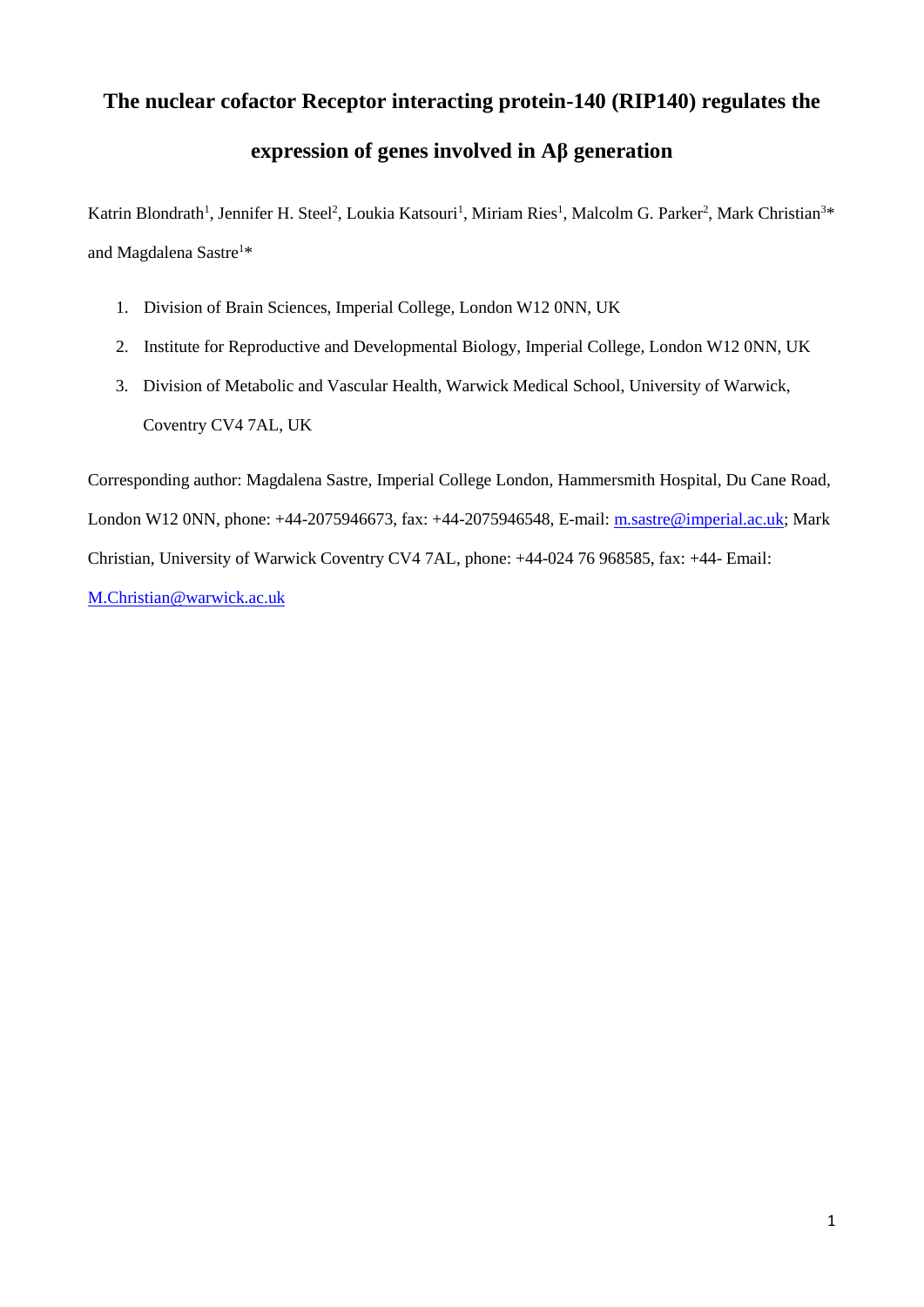# **The nuclear cofactor Receptor interacting protein-140 (RIP140) regulates the**

# **expression of genes involved in Aβ generation**

Katrin Blondrath<sup>1</sup>, Jennifer H. Steel<sup>2</sup>, Loukia Katsouri<sup>1</sup>, Miriam Ries<sup>1</sup>, Malcolm G. Parker<sup>2</sup>, Mark Christian<sup>3\*</sup> and Magdalena Sastre<sup>1\*</sup>

- 1. Division of Brain Sciences, Imperial College, London W12 0NN, UK
- 2. Institute for Reproductive and Developmental Biology, Imperial College, London W12 0NN, UK
- 3. Division of Metabolic and Vascular Health, Warwick Medical School, University of Warwick, Coventry CV4 7AL, UK

Corresponding author: Magdalena Sastre, Imperial College London, Hammersmith Hospital, Du Cane Road, London W12 0NN, phone: +44-2075946673, fax: +44-2075946548, E-mail: [m.sastre@imperial.ac.uk;](mailto:m.sastre@imperial.ac.uk) Mark Christian, University of Warwick Coventry CV4 7AL, phone: +44-024 76 968585, fax: +44- Email: [M.Christian@warwick.ac.uk](mailto:M.Christian@warwick.ac.uk)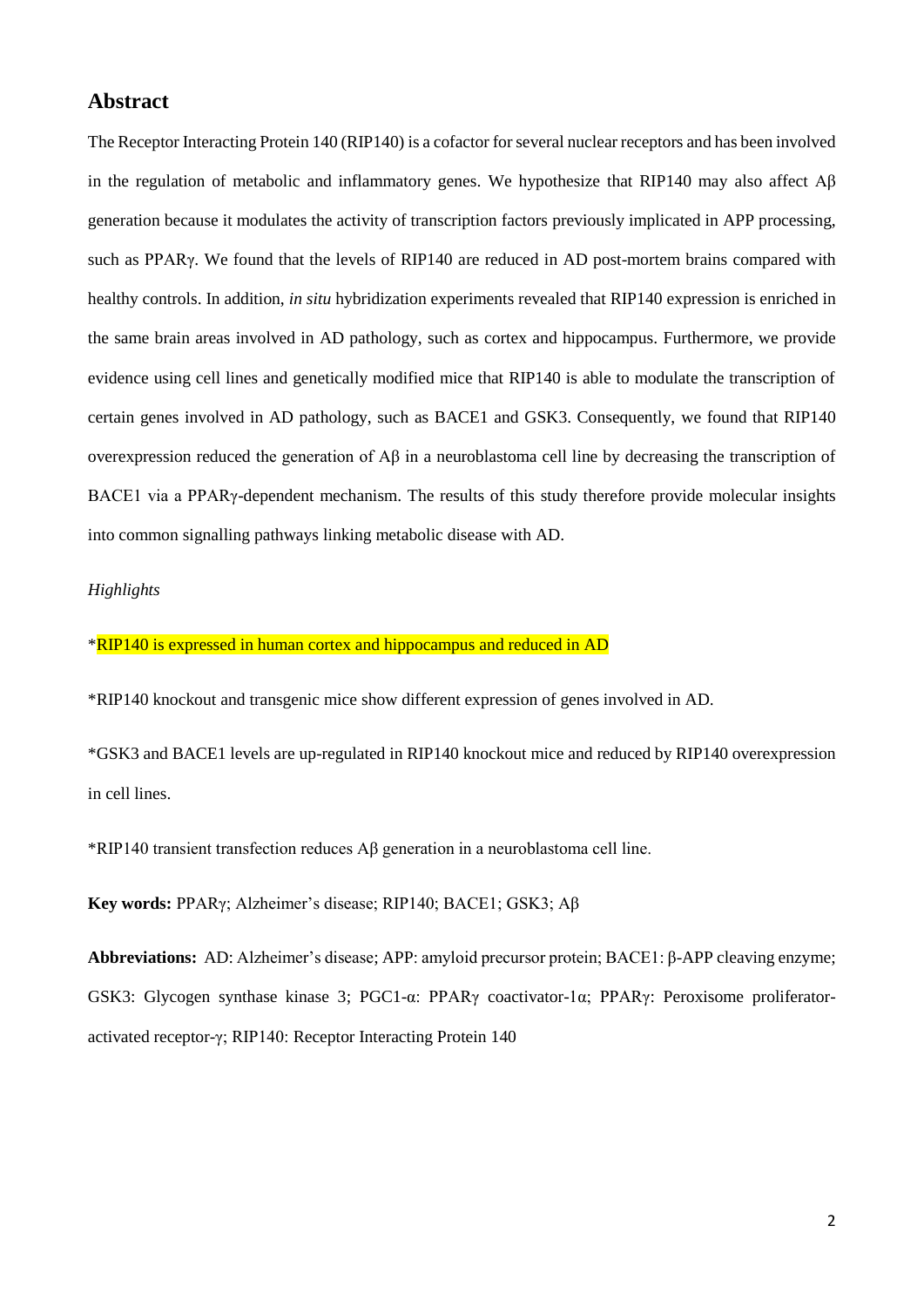# **Abstract**

The Receptor Interacting Protein 140 (RIP140) is a cofactor for several nuclear receptors and has been involved in the regulation of metabolic and inflammatory genes. We hypothesize that RIP140 may also affect Aβ generation because it modulates the activity of transcription factors previously implicated in APP processing, such as PPARγ. We found that the levels of RIP140 are reduced in AD post-mortem brains compared with healthy controls. In addition, *in situ* hybridization experiments revealed that RIP140 expression is enriched in the same brain areas involved in AD pathology, such as cortex and hippocampus. Furthermore, we provide evidence using cell lines and genetically modified mice that RIP140 is able to modulate the transcription of certain genes involved in AD pathology, such as BACE1 and GSK3. Consequently, we found that RIP140 overexpression reduced the generation of Aβ in a neuroblastoma cell line by decreasing the transcription of BACE1 via a PPARγ-dependent mechanism. The results of this study therefore provide molecular insights into common signalling pathways linking metabolic disease with AD.

# *Highlights*

# \*RIP140 is expressed in human cortex and hippocampus and reduced in AD

\*RIP140 knockout and transgenic mice show different expression of genes involved in AD.

\*GSK3 and BACE1 levels are up-regulated in RIP140 knockout mice and reduced by RIP140 overexpression in cell lines.

\*RIP140 transient transfection reduces Aβ generation in a neuroblastoma cell line.

**Key words:** PPARγ; Alzheimer's disease; RIP140; BACE1; GSK3; Aβ

**Abbreviations:** AD: Alzheimer's disease; APP: amyloid precursor protein; BACE1: β-APP cleaving enzyme; GSK3: Glycogen synthase kinase 3; PGC1-α: PPARγ coactivator-1α; PPARγ: Peroxisome proliferatoractivated receptor-γ; RIP140: Receptor Interacting Protein 140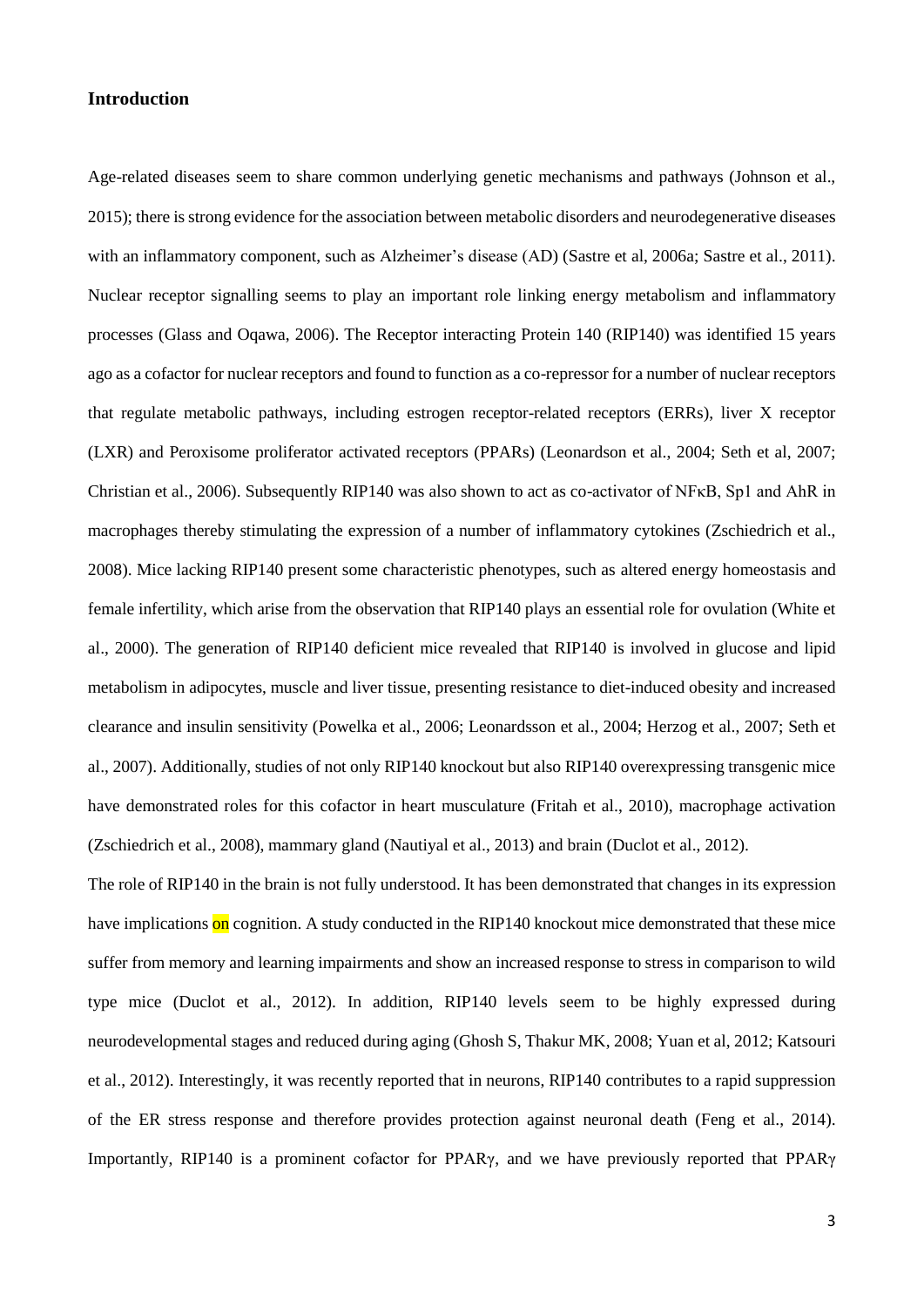# **Introduction**

Age-related diseases seem to share common underlying genetic mechanisms and pathways (Johnson et al., 2015); there is strong evidence for the association between metabolic disorders and neurodegenerative diseases with an inflammatory component, such as Alzheimer's disease (AD) (Sastre et al, 2006a; Sastre et al., 2011). Nuclear receptor signalling seems to play an important role linking energy metabolism and inflammatory processes (Glass and Oqawa, 2006). The Receptor interacting Protein 140 (RIP140) was identified 15 years ago as a cofactor for nuclear receptors and found to function as a co-repressor for a number of nuclear receptors that regulate metabolic pathways, including estrogen receptor-related receptors (ERRs), liver X receptor (LXR) and Peroxisome proliferator activated receptors (PPARs) (Leonardson et al., 2004; Seth et al, 2007; Christian et al., 2006). Subsequently RIP140 was also shown to act as co-activator of NFκB, Sp1 and AhR in macrophages thereby stimulating the expression of a number of inflammatory cytokines (Zschiedrich et al., 2008). Mice lacking RIP140 present some characteristic phenotypes, such as altered energy homeostasis and female infertility, which arise from the observation that RIP140 plays an essential role for ovulation (White et al., 2000). The generation of RIP140 deficient mice revealed that RIP140 is involved in glucose and lipid metabolism in adipocytes, muscle and liver tissue, presenting resistance to diet-induced obesity and increased clearance and insulin sensitivity (Powelka et al., 2006; Leonardsson et al., 2004; Herzog et al., 2007; Seth et al., 2007). Additionally, studies of not only RIP140 knockout but also RIP140 overexpressing transgenic mice have demonstrated roles for this cofactor in heart musculature (Fritah et al., 2010), macrophage activation (Zschiedrich et al., 2008), mammary gland (Nautiyal et al., 2013) and brain (Duclot et al., 2012).

The role of RIP140 in the brain is not fully understood. It has been demonstrated that changes in its expression have implications on cognition. A study conducted in the RIP140 knockout mice demonstrated that these mice suffer from memory and learning impairments and show an increased response to stress in comparison to wild type mice (Duclot et al., 2012). In addition, RIP140 levels seem to be highly expressed during neurodevelopmental stages and reduced during aging (Ghosh S, Thakur MK, 2008; Yuan et al, 2012; Katsouri et al., 2012). Interestingly, it was recently reported that in neurons, RIP140 contributes to a rapid suppression of the ER stress response and therefore provides protection against neuronal death (Feng et al., 2014). Importantly, RIP140 is a prominent cofactor for PPARγ, and we have previously reported that PPARγ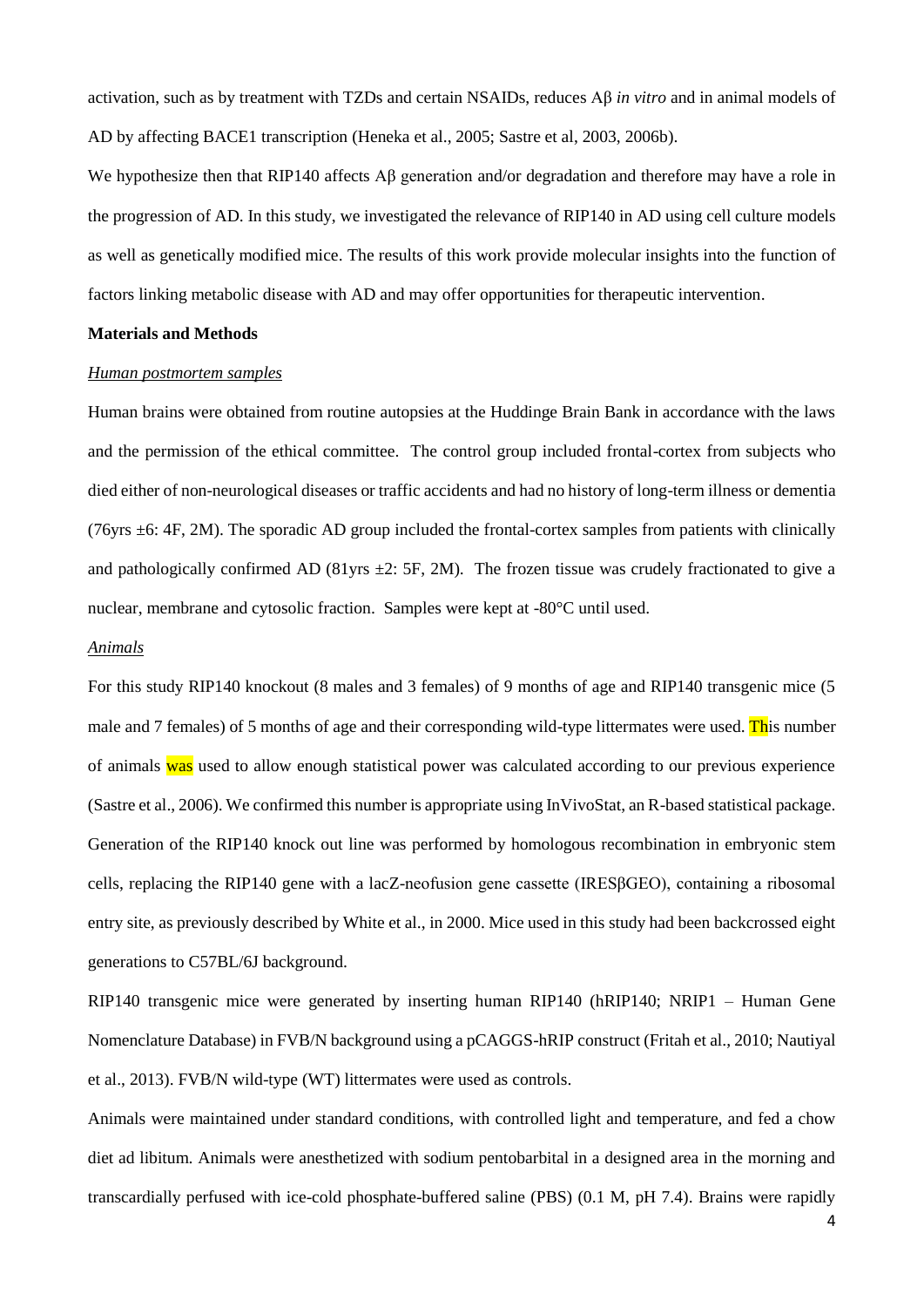activation, such as by treatment with TZDs and certain NSAIDs, reduces Aβ *in vitro* and in animal models of AD by affecting BACE1 transcription (Heneka et al., 2005; Sastre et al, 2003, 2006b).

We hypothesize then that RIP140 affects Aβ generation and/or degradation and therefore may have a role in the progression of AD. In this study, we investigated the relevance of RIP140 in AD using cell culture models as well as genetically modified mice. The results of this work provide molecular insights into the function of factors linking metabolic disease with AD and may offer opportunities for therapeutic intervention.

#### **Materials and Methods**

#### *Human postmortem samples*

Human brains were obtained from routine autopsies at the Huddinge Brain Bank in accordance with the laws and the permission of the ethical committee. The control group included frontal-cortex from subjects who died either of non-neurological diseases or traffic accidents and had no history of long-term illness or dementia (76yrs ±6: 4F, 2M). The sporadic AD group included the frontal-cortex samples from patients with clinically and pathologically confirmed AD (81yrs  $\pm 2$ : 5F, 2M). The frozen tissue was crudely fractionated to give a nuclear, membrane and cytosolic fraction. Samples were kept at -80°C until used.

#### *Animals*

For this study RIP140 knockout (8 males and 3 females) of 9 months of age and RIP140 transgenic mice (5 male and 7 females) of 5 months of age and their corresponding wild-type littermates were used. This number of animals was used to allow enough statistical power was calculated according to our previous experience (Sastre et al., 2006). We confirmed this number is appropriate using InVivoStat, an R-based statistical package. Generation of the RIP140 knock out line was performed by homologous recombination in embryonic stem cells, replacing the RIP140 gene with a lacZ-neofusion gene cassette (IRESβGEO), containing a ribosomal entry site, as previously described by White et al., in 2000. Mice used in this study had been backcrossed eight generations to C57BL/6J background.

RIP140 transgenic mice were generated by inserting human RIP140 (hRIP140; NRIP1 – Human Gene Nomenclature Database) in FVB/N background using a pCAGGS-hRIP construct (Fritah et al., 2010; Nautiyal et al., 2013). FVB/N wild-type (WT) littermates were used as controls.

Animals were maintained under standard conditions, with controlled light and temperature, and fed a chow diet ad libitum. Animals were anesthetized with sodium pentobarbital in a designed area in the morning and transcardially perfused with ice-cold phosphate-buffered saline (PBS) (0.1 M, pH 7.4). Brains were rapidly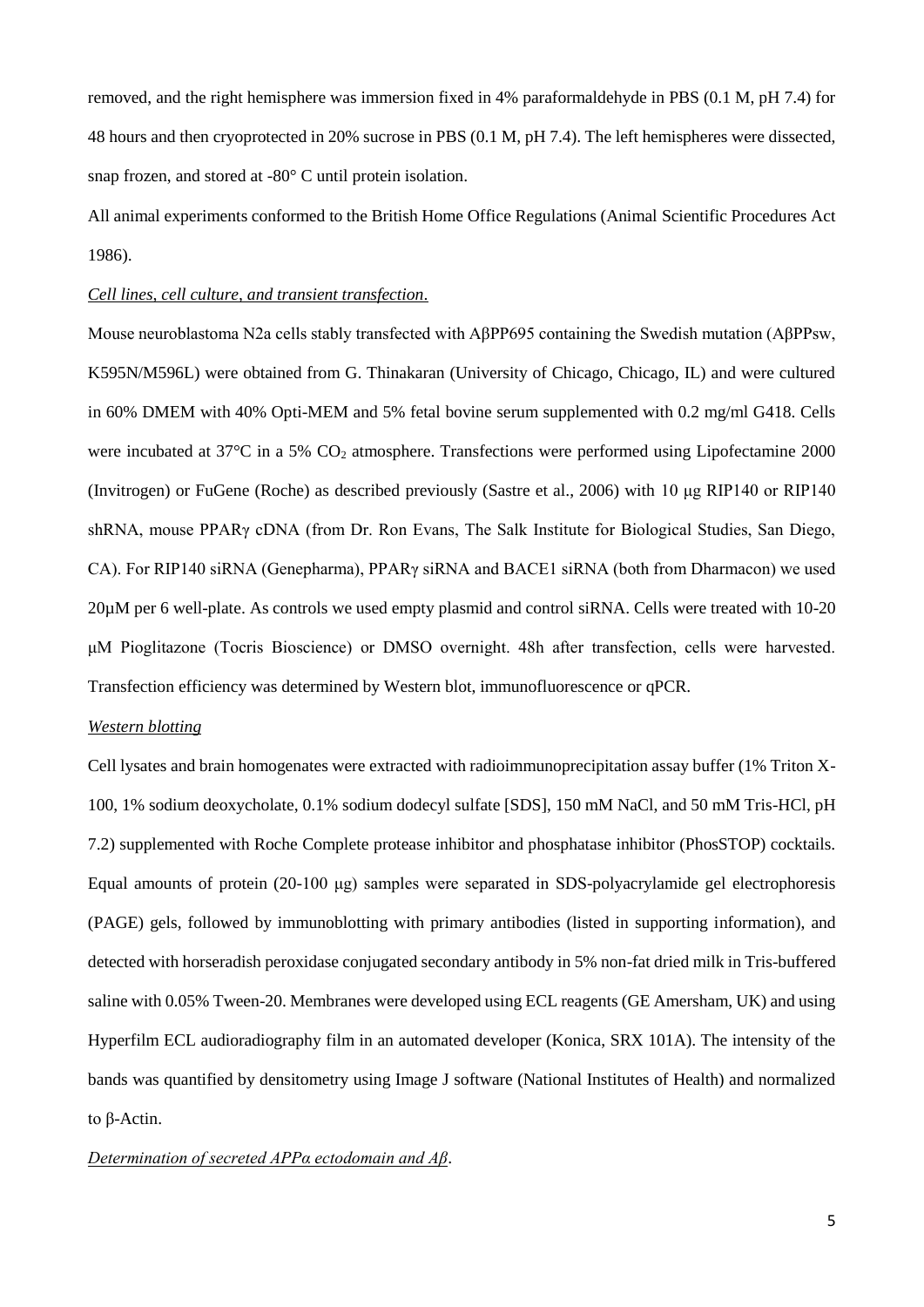removed, and the right hemisphere was immersion fixed in 4% paraformaldehyde in PBS (0.1 M, pH 7.4) for 48 hours and then cryoprotected in 20% sucrose in PBS (0.1 M, pH 7.4). The left hemispheres were dissected, snap frozen, and stored at -80° C until protein isolation.

All animal experiments conformed to the British Home Office Regulations (Animal Scientific Procedures Act 1986).

# *Cell lines, cell culture, and transient transfection*.

Mouse neuroblastoma N2a cells stably transfected with AβPP695 containing the Swedish mutation (AβPPsw, K595N/M596L) were obtained from G. Thinakaran (University of Chicago, Chicago, IL) and were cultured in 60% DMEM with 40% Opti-MEM and 5% fetal bovine serum supplemented with 0.2 mg/ml G418. Cells were incubated at  $37^{\circ}$ C in a 5% CO<sub>2</sub> atmosphere. Transfections were performed using Lipofectamine 2000 (Invitrogen) or FuGene (Roche) as described previously (Sastre et al., 2006) with 10 μg RIP140 or RIP140 shRNA, mouse PPARγ cDNA (from Dr. Ron Evans, The Salk Institute for Biological Studies, San Diego, CA). For RIP140 siRNA (Genepharma), PPARγ siRNA and BACE1 siRNA (both from Dharmacon) we used 20µM per 6 well-plate. As controls we used empty plasmid and control siRNA. Cells were treated with 10-20 μM Pioglitazone (Tocris Bioscience) or DMSO overnight. 48h after transfection, cells were harvested. Transfection efficiency was determined by Western blot, immunofluorescence or qPCR.

# *Western blotting*

Cell lysates and brain homogenates were extracted with radioimmunoprecipitation assay buffer (1% Triton X-100, 1% sodium deoxycholate, 0.1% sodium dodecyl sulfate [SDS], 150 mM NaCl, and 50 mM Tris-HCl, pH 7.2) supplemented with Roche Complete protease inhibitor and phosphatase inhibitor (PhosSTOP) cocktails. Equal amounts of protein (20-100 μg) samples were separated in SDS-polyacrylamide gel electrophoresis (PAGE) gels, followed by immunoblotting with primary antibodies (listed in supporting information), and detected with horseradish peroxidase conjugated secondary antibody in 5% non-fat dried milk in Tris-buffered saline with 0.05% Tween-20. Membranes were developed using ECL reagents (GE Amersham, UK) and using Hyperfilm ECL audioradiography film in an automated developer (Konica, SRX 101A). The intensity of the bands was quantified by densitometry using Image J software (National Institutes of Health) and normalized to β-Actin.

# *Determination of secreted APPα ectodomain and Aβ*.

5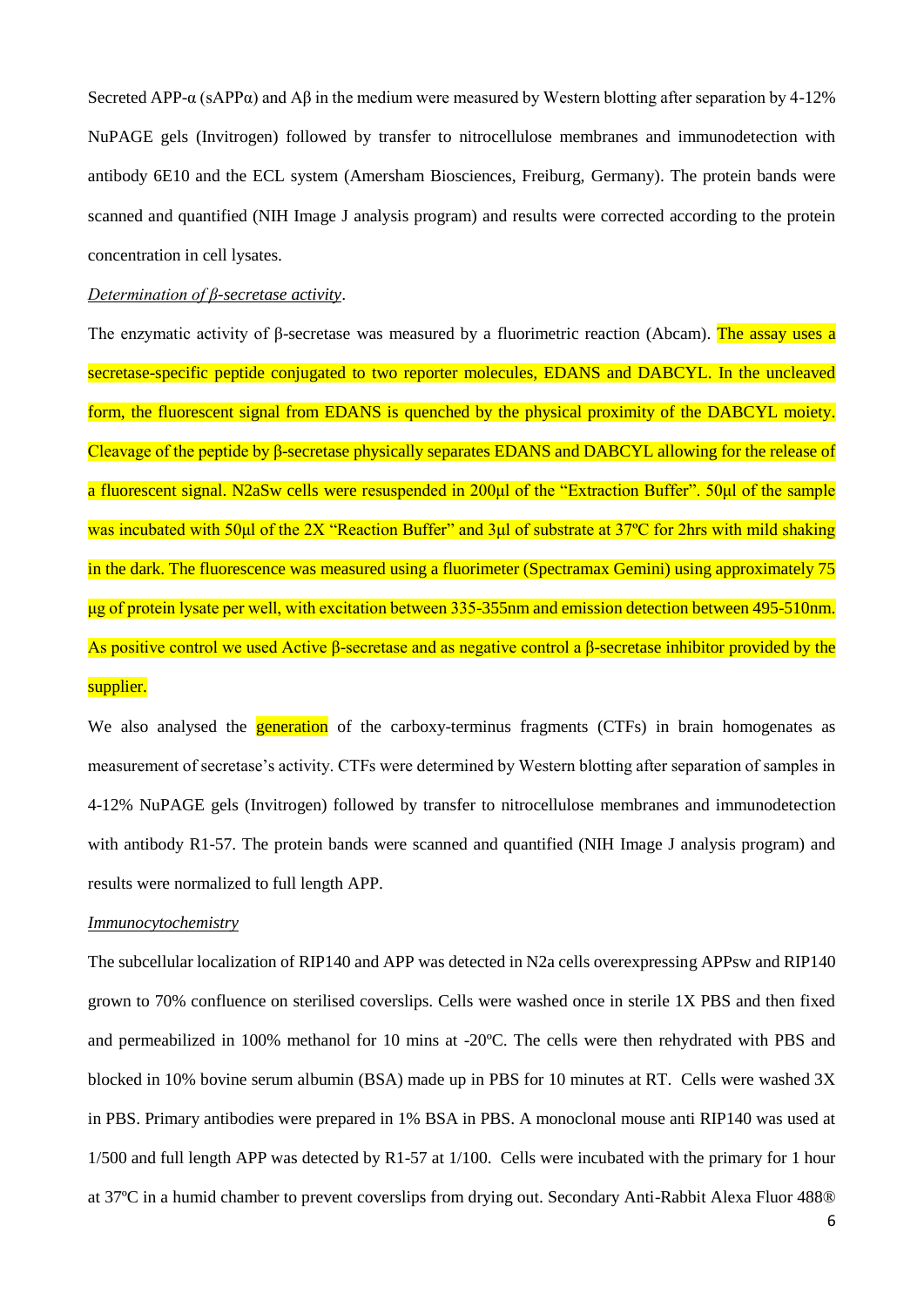Secreted APP- $\alpha$  (sAPP $\alpha$ ) and A $\beta$  in the medium were measured by Western blotting after separation by 4-12% NuPAGE gels (Invitrogen) followed by transfer to nitrocellulose membranes and immunodetection with antibody 6E10 and the ECL system (Amersham Biosciences, Freiburg, Germany). The protein bands were scanned and quantified (NIH Image J analysis program) and results were corrected according to the protein concentration in cell lysates.

# *Determination of β-secretase activity*.

The enzymatic activity of β-secretase was measured by a fluorimetric reaction (Abcam). The assay uses a secretase-specific peptide conjugated to two reporter molecules, EDANS and DABCYL. In the uncleaved form, the fluorescent signal from EDANS is quenched by the physical proximity of the DABCYL moiety. Cleavage of the peptide by β-secretase physically separates EDANS and DABCYL allowing for the release of a fluorescent signal. N2aSw cells were resuspended in 200μl of the "Extraction Buffer". 50μl of the sample was incubated with 50μl of the 2X "Reaction Buffer" and 3μl of substrate at 37ºC for 2hrs with mild shaking in the dark. The fluorescence was measured using a fluorimeter (Spectramax Gemini) using approximately 75 μg of protein lysate per well, with excitation between 335-355nm and emission detection between 495-510nm. As positive control we used Active β-secretase and as negative control a β-secretase inhibitor provided by the supplier.

We also analysed the **generation** of the carboxy-terminus fragments (CTFs) in brain homogenates as measurement of secretase's activity. CTFs were determined by Western blotting after separation of samples in 4-12% NuPAGE gels (Invitrogen) followed by transfer to nitrocellulose membranes and immunodetection with antibody R1-57. The protein bands were scanned and quantified (NIH Image J analysis program) and results were normalized to full length APP.

#### *Immunocytochemistry*

The subcellular localization of RIP140 and APP was detected in N2a cells overexpressing APPsw and RIP140 grown to 70% confluence on sterilised coverslips. Cells were washed once in sterile 1X PBS and then fixed and permeabilized in 100% methanol for 10 mins at -20ºC. The cells were then rehydrated with PBS and blocked in 10% bovine serum albumin (BSA) made up in PBS for 10 minutes at RT. Cells were washed 3X in PBS. Primary antibodies were prepared in 1% BSA in PBS. A monoclonal mouse anti RIP140 was used at 1/500 and full length APP was detected by R1-57 at 1/100. Cells were incubated with the primary for 1 hour at 37ºC in a humid chamber to prevent coverslips from drying out. Secondary Anti-Rabbit Alexa Fluor 488®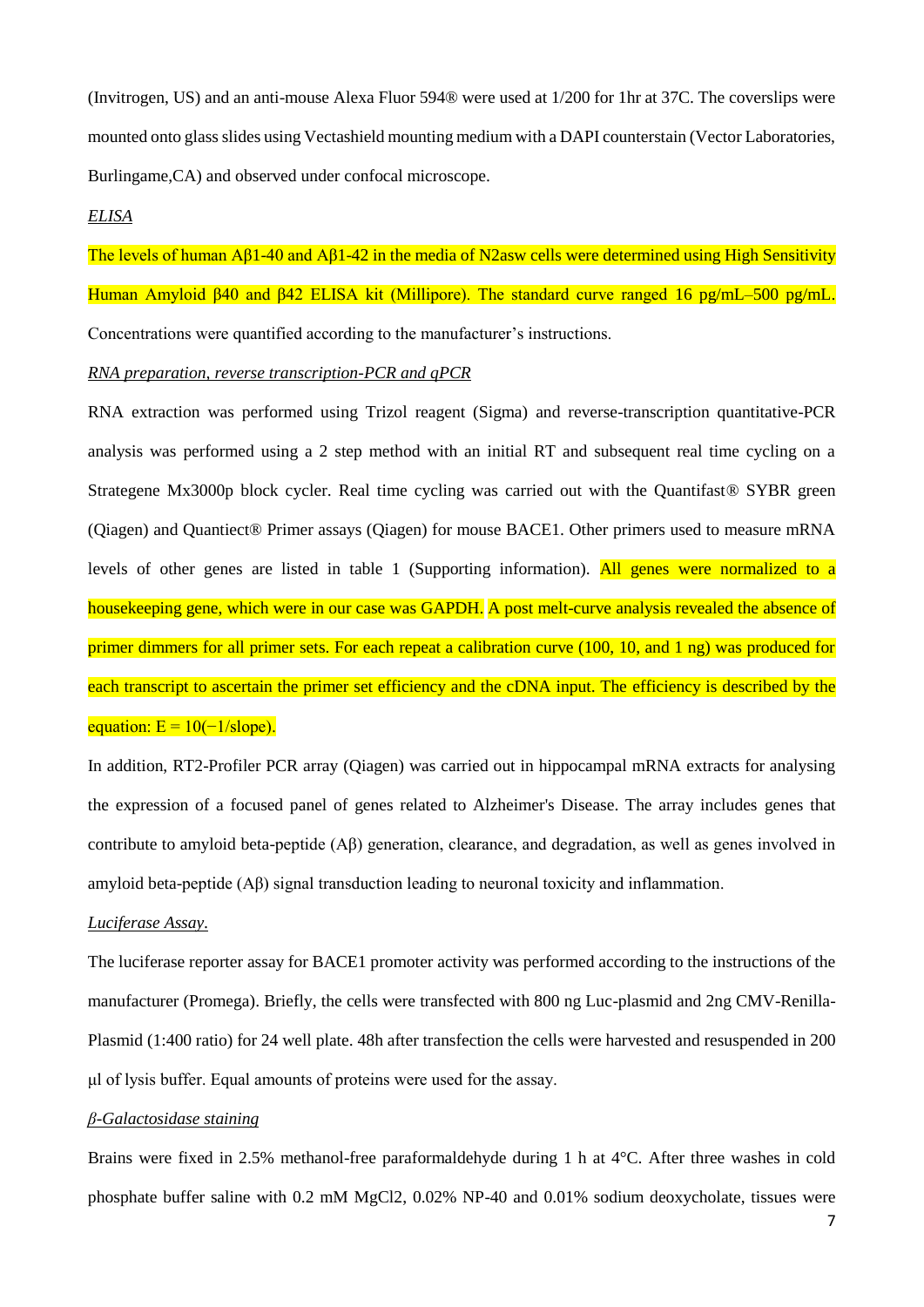(Invitrogen, US) and an anti-mouse Alexa Fluor 594® were used at 1/200 for 1hr at 37C. The coverslips were mounted onto glass slides using Vectashield mounting medium with a DAPI counterstain (Vector Laboratories, Burlingame,CA) and observed under confocal microscope.

#### *ELISA*

The levels of human Aβ1-40 and Aβ1-42 in the media of N2asw cells were determined using High Sensitivity Human Amyloid β40 and β42 ELISA kit (Millipore). The standard curve ranged 16 pg/mL–500 pg/mL. Concentrations were quantified according to the manufacturer's instructions.

#### *RNA preparation, reverse transcription-PCR and qPCR*

RNA extraction was performed using Trizol reagent (Sigma) and reverse-transcription quantitative-PCR analysis was performed using a 2 step method with an initial RT and subsequent real time cycling on a Strategene Mx3000p block cycler. Real time cycling was carried out with the Quantifast<sup>®</sup> SYBR green (Qiagen) and Quantiect® Primer assays (Qiagen) for mouse BACE1. Other primers used to measure mRNA levels of other genes are listed in table 1 (Supporting information). All genes were normalized to a housekeeping gene, which were in our case was GAPDH. A post melt-curve analysis revealed the absence of primer dimmers for all primer sets. For each repeat a calibration curve (100, 10, and 1 ng) was produced for each transcript to ascertain the primer set efficiency and the cDNA input. The efficiency is described by the equation:  $E = 10(-1/slope)$ .

In addition, RT2-Profiler PCR array (Qiagen) was carried out in hippocampal mRNA extracts for analysing the expression of a focused panel of genes related to Alzheimer's Disease. The array includes genes that contribute to amyloid beta-peptide (Aβ) generation, clearance, and degradation, as well as genes involved in amyloid beta-peptide (Aβ) signal transduction leading to neuronal toxicity and inflammation.

# *Luciferase Assay.*

The luciferase reporter assay for BACE1 promoter activity was performed according to the instructions of the manufacturer (Promega). Briefly, the cells were transfected with 800 ng Luc-plasmid and 2ng CMV-Renilla-Plasmid (1:400 ratio) for 24 well plate. 48h after transfection the cells were harvested and resuspended in 200 μl of lysis buffer. Equal amounts of proteins were used for the assay.

#### *β-Galactosidase staining*

Brains were fixed in 2.5% methanol-free paraformaldehyde during 1 h at 4°C. After three washes in cold phosphate buffer saline with 0.2 mM MgCl2, 0.02% NP-40 and 0.01% sodium deoxycholate, tissues were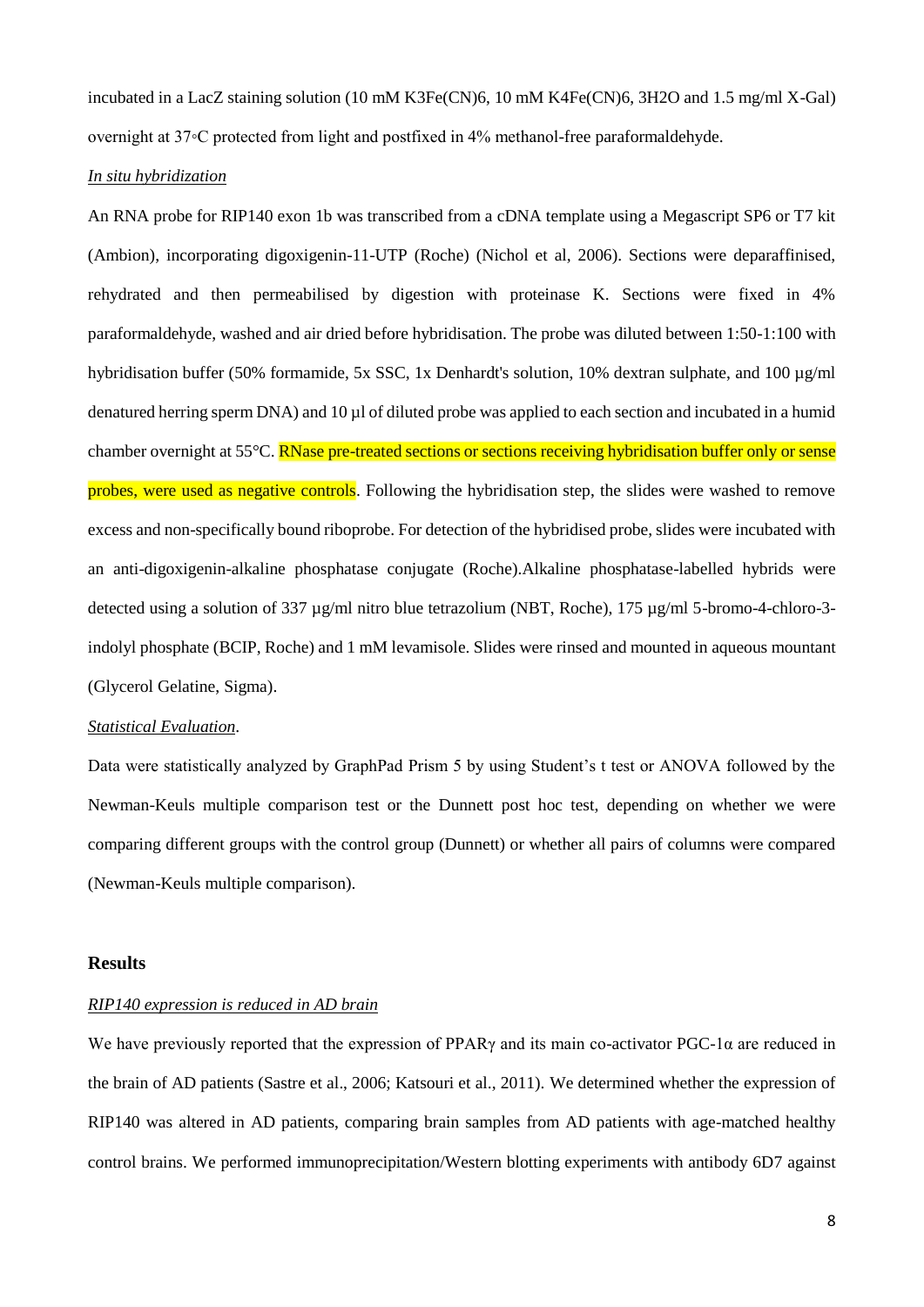incubated in a LacZ staining solution (10 mM K3Fe(CN)6, 10 mM K4Fe(CN)6, 3H2O and 1.5 mg/ml X-Gal) overnight at 37◦C protected from light and postfixed in 4% methanol-free paraformaldehyde.

# *In situ hybridization*

An RNA probe for RIP140 exon 1b was transcribed from a cDNA template using a Megascript SP6 or T7 kit (Ambion), incorporating digoxigenin-11-UTP (Roche) (Nichol et al, 2006). Sections were deparaffinised, rehydrated and then permeabilised by digestion with proteinase K. Sections were fixed in 4% paraformaldehyde, washed and air dried before hybridisation. The probe was diluted between 1:50-1:100 with hybridisation buffer (50% formamide, 5x SSC, 1x Denhardt's solution, 10% dextran sulphate, and 100  $\mu$ g/ml denatured herring sperm DNA) and 10 µl of diluted probe was applied to each section and incubated in a humid chamber overnight at 55°C. RNase pre-treated sections or sections receiving hybridisation buffer only or sense probes, were used as negative controls. Following the hybridisation step, the slides were washed to remove excess and non-specifically bound riboprobe. For detection of the hybridised probe, slides were incubated with an anti-digoxigenin-alkaline phosphatase conjugate (Roche).Alkaline phosphatase-labelled hybrids were detected using a solution of 337 µg/ml nitro blue tetrazolium (NBT, Roche), 175 µg/ml 5-bromo-4-chloro-3indolyl phosphate (BCIP, Roche) and 1 mM levamisole. Slides were rinsed and mounted in aqueous mountant (Glycerol Gelatine, Sigma).

#### *Statistical Evaluation*.

Data were statistically analyzed by GraphPad Prism 5 by using Student's t test or ANOVA followed by the Newman-Keuls multiple comparison test or the Dunnett post hoc test, depending on whether we were comparing different groups with the control group (Dunnett) or whether all pairs of columns were compared (Newman-Keuls multiple comparison).

#### **Results**

# *RIP140 expression is reduced in AD brain*

We have previously reported that the expression of PPARγ and its main co-activator PGC-1α are reduced in the brain of AD patients (Sastre et al., 2006; Katsouri et al., 2011). We determined whether the expression of RIP140 was altered in AD patients, comparing brain samples from AD patients with age-matched healthy control brains. We performed immunoprecipitation/Western blotting experiments with antibody 6D7 against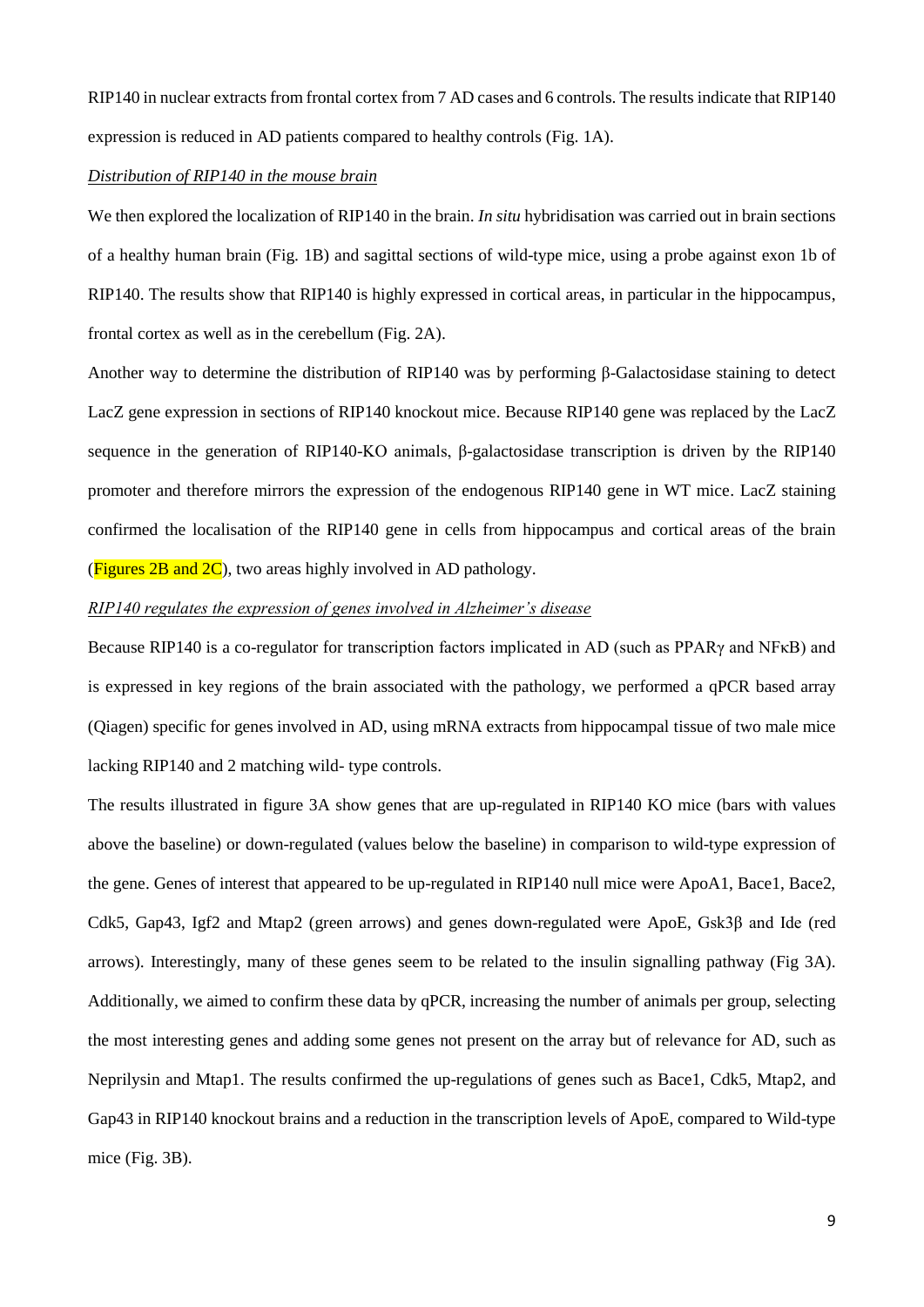RIP140 in nuclear extracts from frontal cortex from 7 AD cases and 6 controls. The results indicate that RIP140 expression is reduced in AD patients compared to healthy controls (Fig. 1A).

#### *Distribution of RIP140 in the mouse brain*

We then explored the localization of RIP140 in the brain. *In situ* hybridisation was carried out in brain sections of a healthy human brain (Fig. 1B) and sagittal sections of wild-type mice, using a probe against exon 1b of RIP140. The results show that RIP140 is highly expressed in cortical areas, in particular in the hippocampus, frontal cortex as well as in the cerebellum (Fig. 2A).

Another way to determine the distribution of RIP140 was by performing β-Galactosidase staining to detect LacZ gene expression in sections of RIP140 knockout mice. Because RIP140 gene was replaced by the LacZ sequence in the generation of RIP140-KO animals, β-galactosidase transcription is driven by the RIP140 promoter and therefore mirrors the expression of the endogenous RIP140 gene in WT mice. LacZ staining confirmed the localisation of the RIP140 gene in cells from hippocampus and cortical areas of the brain (Figures  $2B$  and  $2C$ ), two areas highly involved in AD pathology.

# *RIP140 regulates the expression of genes involved in Alzheimer's disease*

Because RIP140 is a co-regulator for transcription factors implicated in AD (such as PPARγ and NFκB) and is expressed in key regions of the brain associated with the pathology, we performed a qPCR based array (Qiagen) specific for genes involved in AD, using mRNA extracts from hippocampal tissue of two male mice lacking RIP140 and 2 matching wild- type controls.

The results illustrated in figure 3A show genes that are up-regulated in RIP140 KO mice (bars with values above the baseline) or down-regulated (values below the baseline) in comparison to wild-type expression of the gene. Genes of interest that appeared to be up-regulated in RIP140 null mice were ApoA1, Bace1, Bace2, Cdk5, Gap43, Igf2 and Mtap2 (green arrows) and genes down-regulated were ApoE, Gsk3β and Ide (red arrows). Interestingly, many of these genes seem to be related to the insulin signalling pathway (Fig 3A). Additionally, we aimed to confirm these data by qPCR, increasing the number of animals per group, selecting the most interesting genes and adding some genes not present on the array but of relevance for AD, such as Neprilysin and Mtap1. The results confirmed the up-regulations of genes such as Bace1, Cdk5, Mtap2, and Gap43 in RIP140 knockout brains and a reduction in the transcription levels of ApoE, compared to Wild-type mice (Fig. 3B).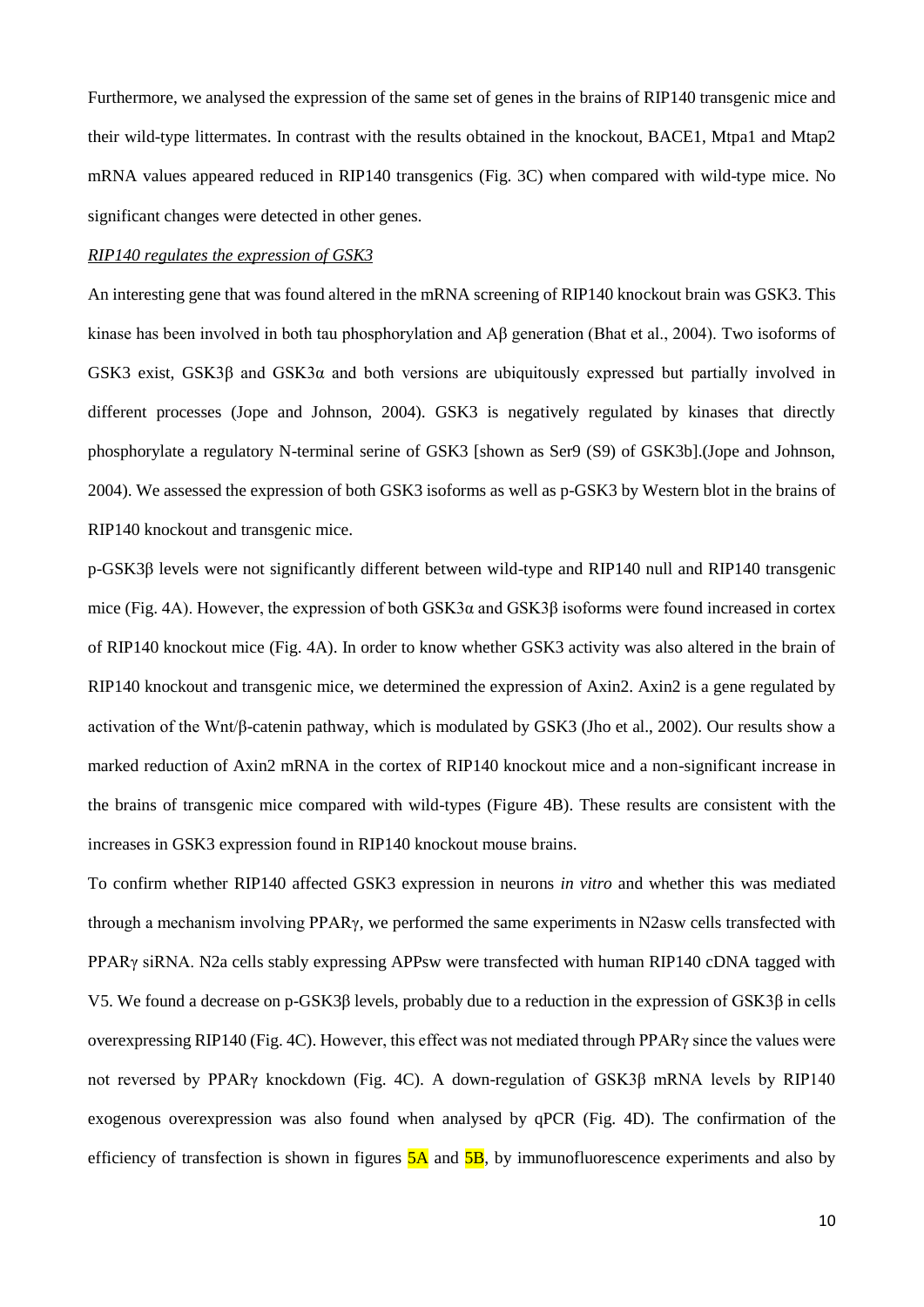Furthermore, we analysed the expression of the same set of genes in the brains of RIP140 transgenic mice and their wild-type littermates. In contrast with the results obtained in the knockout, BACE1, Mtpa1 and Mtap2 mRNA values appeared reduced in RIP140 transgenics (Fig. 3C) when compared with wild-type mice. No significant changes were detected in other genes.

#### *RIP140 regulates the expression of GSK3*

An interesting gene that was found altered in the mRNA screening of RIP140 knockout brain was GSK3. This kinase has been involved in both tau phosphorylation and Aβ generation (Bhat et al., 2004). Two isoforms of GSK3 exist, GSK3β and GSK3α and both versions are ubiquitously expressed but partially involved in different processes (Jope and Johnson, 2004). GSK3 is negatively regulated by kinases that directly phosphorylate a regulatory N-terminal serine of GSK3 [shown as Ser9 (S9) of GSK3b].(Jope and Johnson, 2004). We assessed the expression of both GSK3 isoforms as well as p-GSK3 by Western blot in the brains of RIP140 knockout and transgenic mice.

p-GSK3β levels were not significantly different between wild-type and RIP140 null and RIP140 transgenic mice (Fig. 4A). However, the expression of both GSK3α and GSK3β isoforms were found increased in cortex of RIP140 knockout mice (Fig. 4A). In order to know whether GSK3 activity was also altered in the brain of RIP140 knockout and transgenic mice, we determined the expression of Axin2. Axin2 is a gene regulated by activation of the Wnt/β-catenin pathway, which is modulated by GSK3 (Jho et al., 2002). Our results show a marked reduction of Axin2 mRNA in the cortex of RIP140 knockout mice and a non-significant increase in the brains of transgenic mice compared with wild-types (Figure 4B). These results are consistent with the increases in GSK3 expression found in RIP140 knockout mouse brains.

To confirm whether RIP140 affected GSK3 expression in neurons *in vitro* and whether this was mediated through a mechanism involving PPARγ, we performed the same experiments in N2asw cells transfected with PPARγ siRNA. N2a cells stably expressing APPsw were transfected with human RIP140 cDNA tagged with V5. We found a decrease on p-GSK3β levels, probably due to a reduction in the expression of GSK3β in cells overexpressing RIP140 (Fig. 4C). However, this effect was not mediated through PPARγ since the values were not reversed by PPARγ knockdown (Fig. 4C). A down-regulation of GSK3β mRNA levels by RIP140 exogenous overexpression was also found when analysed by qPCR (Fig. 4D). The confirmation of the efficiency of transfection is shown in figures  $5A$  and  $5B$ , by immunofluorescence experiments and also by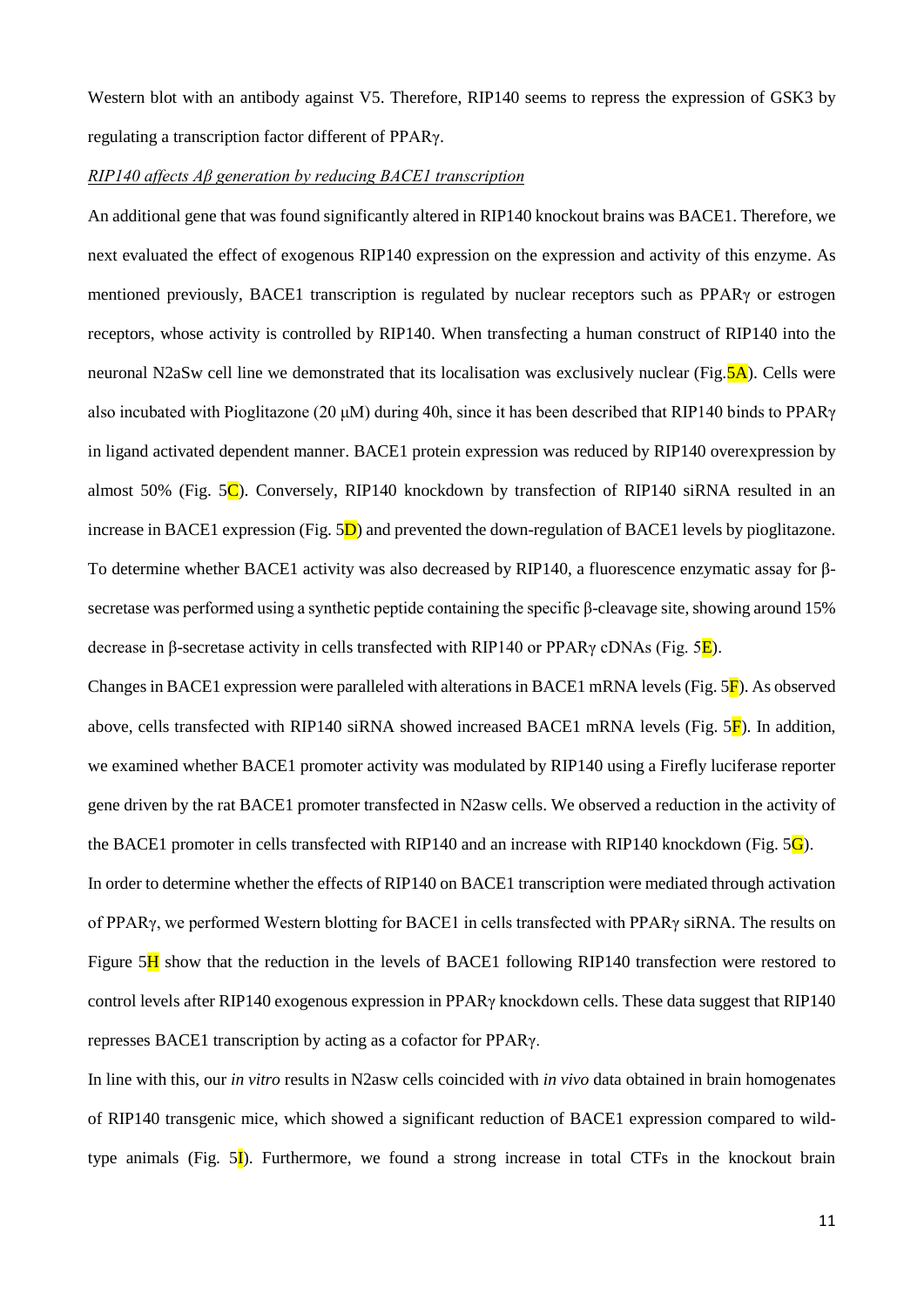Western blot with an antibody against V5. Therefore, RIP140 seems to repress the expression of GSK3 by regulating a transcription factor different of PPARγ.

#### *RIP140 affects Aβ generation by reducing BACE1 transcription*

An additional gene that was found significantly altered in RIP140 knockout brains was BACE1. Therefore, we next evaluated the effect of exogenous RIP140 expression on the expression and activity of this enzyme. As mentioned previously, BACE1 transcription is regulated by nuclear receptors such as PPARγ or estrogen receptors, whose activity is controlled by RIP140. When transfecting a human construct of RIP140 into the neuronal N2aSw cell line we demonstrated that its localisation was exclusively nuclear (Fig. 5A). Cells were also incubated with Pioglitazone (20 μM) during 40h, since it has been described that RIP140 binds to PPARγ in ligand activated dependent manner. BACE1 protein expression was reduced by RIP140 overexpression by almost 50% (Fig.  $5\text{C}$ ). Conversely, RIP140 knockdown by transfection of RIP140 siRNA resulted in an increase in BACE1 expression (Fig.  $5D$ ) and prevented the down-regulation of BACE1 levels by pioglitazone. To determine whether BACE1 activity was also decreased by RIP140, a fluorescence enzymatic assay for βsecretase was performed using a synthetic peptide containing the specific β-cleavage site, showing around 15% decrease in β-secretase activity in cells transfected with RIP140 or PPARγ cDNAs (Fig.  $5E$ ).

Changes in BACE1 expression were paralleled with alterations in BACE1 mRNA levels (Fig. 5F). As observed above, cells transfected with RIP140 siRNA showed increased BACE1 mRNA levels (Fig.  $5\overline{F}$ ). In addition, we examined whether BACE1 promoter activity was modulated by RIP140 using a Firefly luciferase reporter gene driven by the rat BACE1 promoter transfected in N2asw cells. We observed a reduction in the activity of the BACE1 promoter in cells transfected with RIP140 and an increase with RIP140 knockdown (Fig.  $5\text{G}$ ). In order to determine whether the effects of RIP140 on BACE1 transcription were mediated through activation of PPARγ, we performed Western blotting for BACE1 in cells transfected with PPARγ siRNA. The results on Figure 5H show that the reduction in the levels of BACE1 following RIP140 transfection were restored to

represses BACE1 transcription by acting as a cofactor for PPARγ.

In line with this, our *in vitro* results in N2asw cells coincided with *in vivo* data obtained in brain homogenates of RIP140 transgenic mice, which showed a significant reduction of BACE1 expression compared to wildtype animals (Fig.  $5\mathbf{I}$ ). Furthermore, we found a strong increase in total CTFs in the knockout brain

control levels after RIP140 exogenous expression in PPARγ knockdown cells. These data suggest that RIP140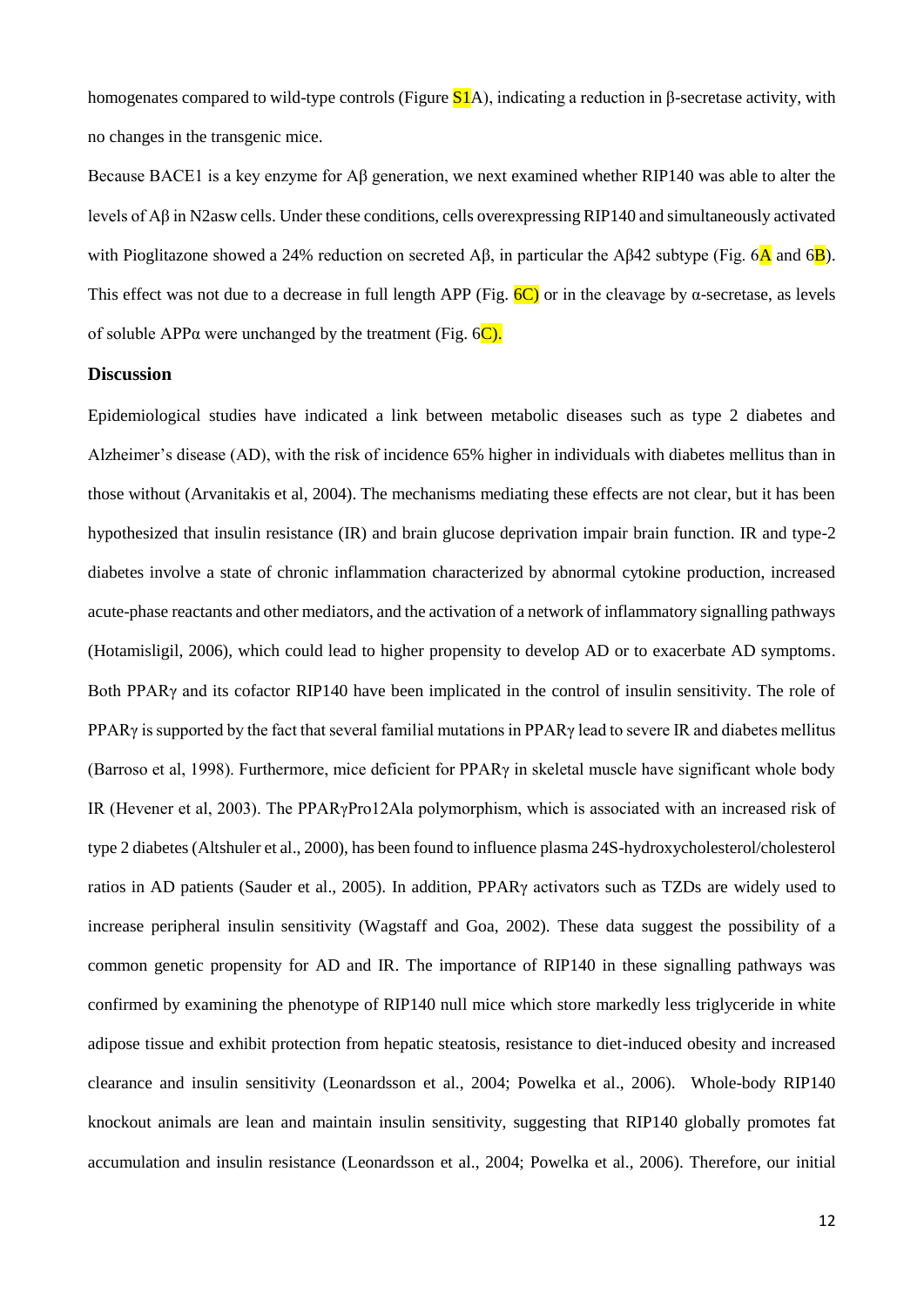homogenates compared to wild-type controls (Figure  $S1A$ ), indicating a reduction in β-secretase activity, with no changes in the transgenic mice.

Because BACE1 is a key enzyme for Aβ generation, we next examined whether RIP140 was able to alter the levels of Aβ in N2asw cells. Under these conditions, cells overexpressing RIP140 and simultaneously activated with Pioglitazone showed a 24% reduction on secreted Aβ, in particular the Aβ42 subtype (Fig. 6 $\overline{A}$  and 6 $\overline{B}$ ). This effect was not due to a decrease in full length APP (Fig.  $6C$ ) or in the cleavage by  $\alpha$ -secretase, as levels of soluble APP $\alpha$  were unchanged by the treatment (Fig. 6C).

#### **Discussion**

Epidemiological studies have indicated a link between metabolic diseases such as type 2 diabetes and Alzheimer's disease (AD), with the risk of incidence 65% higher in individuals with diabetes mellitus than in those without (Arvanitakis et al, 2004). The mechanisms mediating these effects are not clear, but it has been hypothesized that insulin resistance (IR) and brain glucose deprivation impair brain function. IR and type-2 diabetes involve a state of chronic inflammation characterized by abnormal cytokine production, increased acute-phase reactants and other mediators, and the activation of a network of inflammatory signalling pathways (Hotamisligil, 2006), which could lead to higher propensity to develop AD or to exacerbate AD symptoms. Both PPARγ and its cofactor RIP140 have been implicated in the control of insulin sensitivity. The role of PPAR<sub>γ</sub> is supported by the fact that several familial mutations in PPAR<sub>γ</sub> lead to severe IR and diabetes mellitus (Barroso et al, 1998). Furthermore, mice deficient for PPARγ in skeletal muscle have significant whole body IR (Hevener et al, 2003). The PPARγPro12Ala polymorphism, which is associated with an increased risk of type 2 diabetes (Altshuler et al., 2000), has been found to influence plasma 24S-hydroxycholesterol/cholesterol ratios in AD patients (Sauder et al., 2005). In addition, PPARγ activators such as TZDs are widely used to increase peripheral insulin sensitivity (Wagstaff and Goa, 2002). These data suggest the possibility of a common genetic propensity for AD and IR. The importance of RIP140 in these signalling pathways was confirmed by examining the phenotype of RIP140 null mice which store markedly less triglyceride in white adipose tissue and exhibit protection from hepatic steatosis, resistance to diet-induced obesity and increased clearance and insulin sensitivity (Leonardsson et al., 2004; Powelka et al., 2006). Whole-body RIP140 knockout animals are lean and maintain insulin sensitivity, suggesting that RIP140 globally promotes fat accumulation and insulin resistance (Leonardsson et al., 2004; Powelka et al., 2006). Therefore, our initial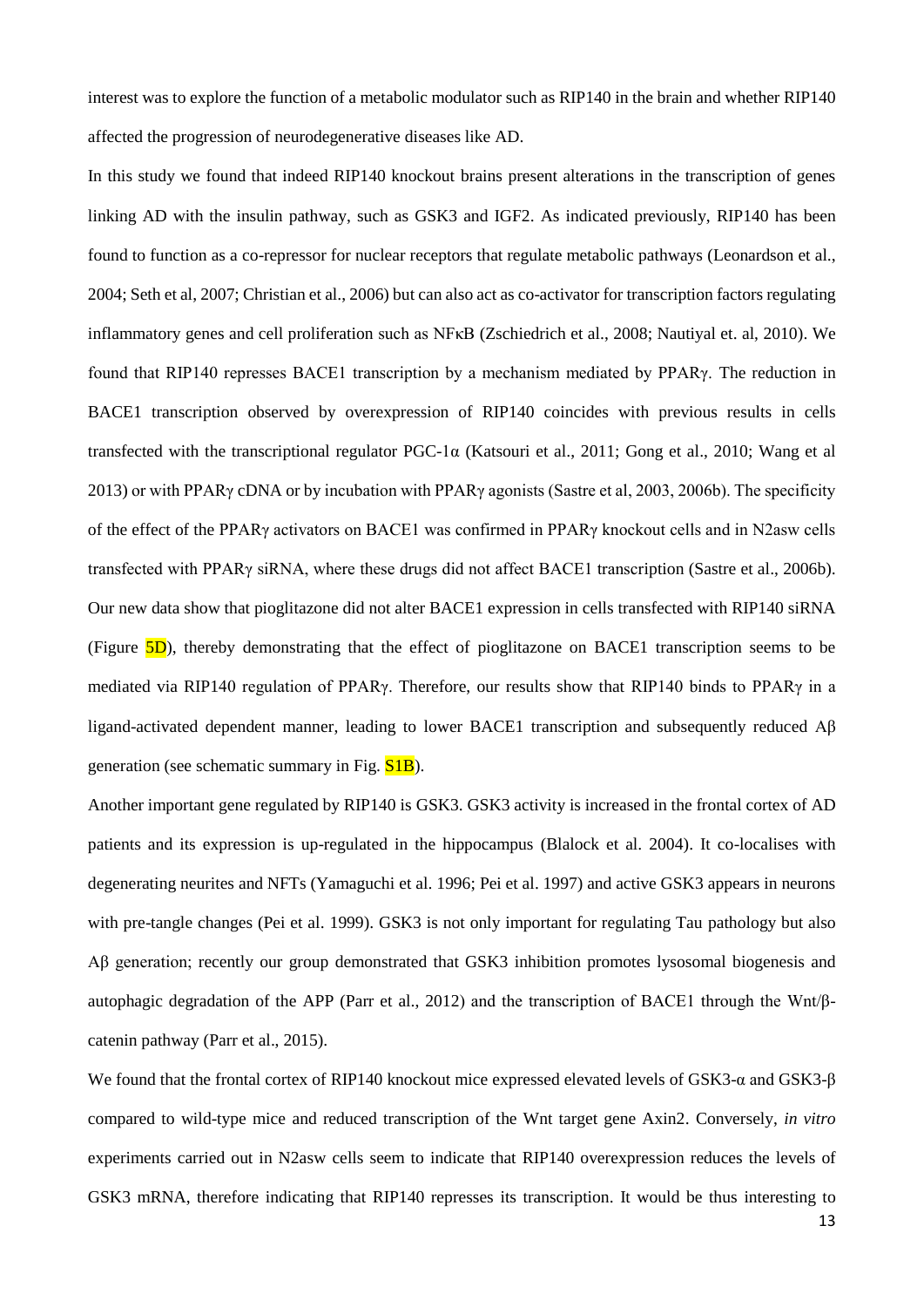interest was to explore the function of a metabolic modulator such as RIP140 in the brain and whether RIP140 affected the progression of neurodegenerative diseases like AD.

In this study we found that indeed RIP140 knockout brains present alterations in the transcription of genes linking AD with the insulin pathway, such as GSK3 and IGF2. As indicated previously, RIP140 has been found to function as a co-repressor for nuclear receptors that regulate metabolic pathways (Leonardson et al., 2004; Seth et al, 2007; Christian et al., 2006) but can also act as co-activator for transcription factors regulating inflammatory genes and cell proliferation such as NFκB (Zschiedrich et al., 2008; Nautiyal et. al, 2010). We found that RIP140 represses BACE1 transcription by a mechanism mediated by PPARγ. The reduction in BACE1 transcription observed by overexpression of RIP140 coincides with previous results in cells transfected with the transcriptional regulator PGC-1α (Katsouri et al., 2011; Gong et al., 2010; Wang et al 2013) or with PPARγ cDNA or by incubation with PPARγ agonists (Sastre et al, 2003, 2006b). The specificity of the effect of the PPARγ activators on BACE1 was confirmed in PPARγ knockout cells and in N2asw cells transfected with PPARγ siRNA, where these drugs did not affect BACE1 transcription (Sastre et al., 2006b). Our new data show that pioglitazone did not alter BACE1 expression in cells transfected with RIP140 siRNA (Figure  $5D$ ), thereby demonstrating that the effect of pioglitazone on BACE1 transcription seems to be mediated via RIP140 regulation of PPARγ. Therefore, our results show that RIP140 binds to PPARγ in a ligand-activated dependent manner, leading to lower BACE1 transcription and subsequently reduced Aβ generation (see schematic summary in Fig. S1B).

Another important gene regulated by RIP140 is GSK3. GSK3 activity is increased in the frontal cortex of AD patients and its expression is up-regulated in the hippocampus (Blalock et al. 2004). It co-localises with degenerating neurites and NFTs (Yamaguchi et al. 1996; Pei et al. 1997) and active GSK3 appears in neurons with pre-tangle changes (Pei et al. 1999). GSK3 is not only important for regulating Tau pathology but also Aβ generation; recently our group demonstrated that GSK3 inhibition promotes lysosomal biogenesis and autophagic degradation of the APP (Parr et al., 2012) and the transcription of BACE1 through the Wnt/βcatenin pathway (Parr et al., 2015).

We found that the frontal cortex of RIP140 knockout mice expressed elevated levels of GSK3-α and GSK3-β compared to wild-type mice and reduced transcription of the Wnt target gene Axin2. Conversely, *in vitro* experiments carried out in N2asw cells seem to indicate that RIP140 overexpression reduces the levels of GSK3 mRNA, therefore indicating that RIP140 represses its transcription. It would be thus interesting to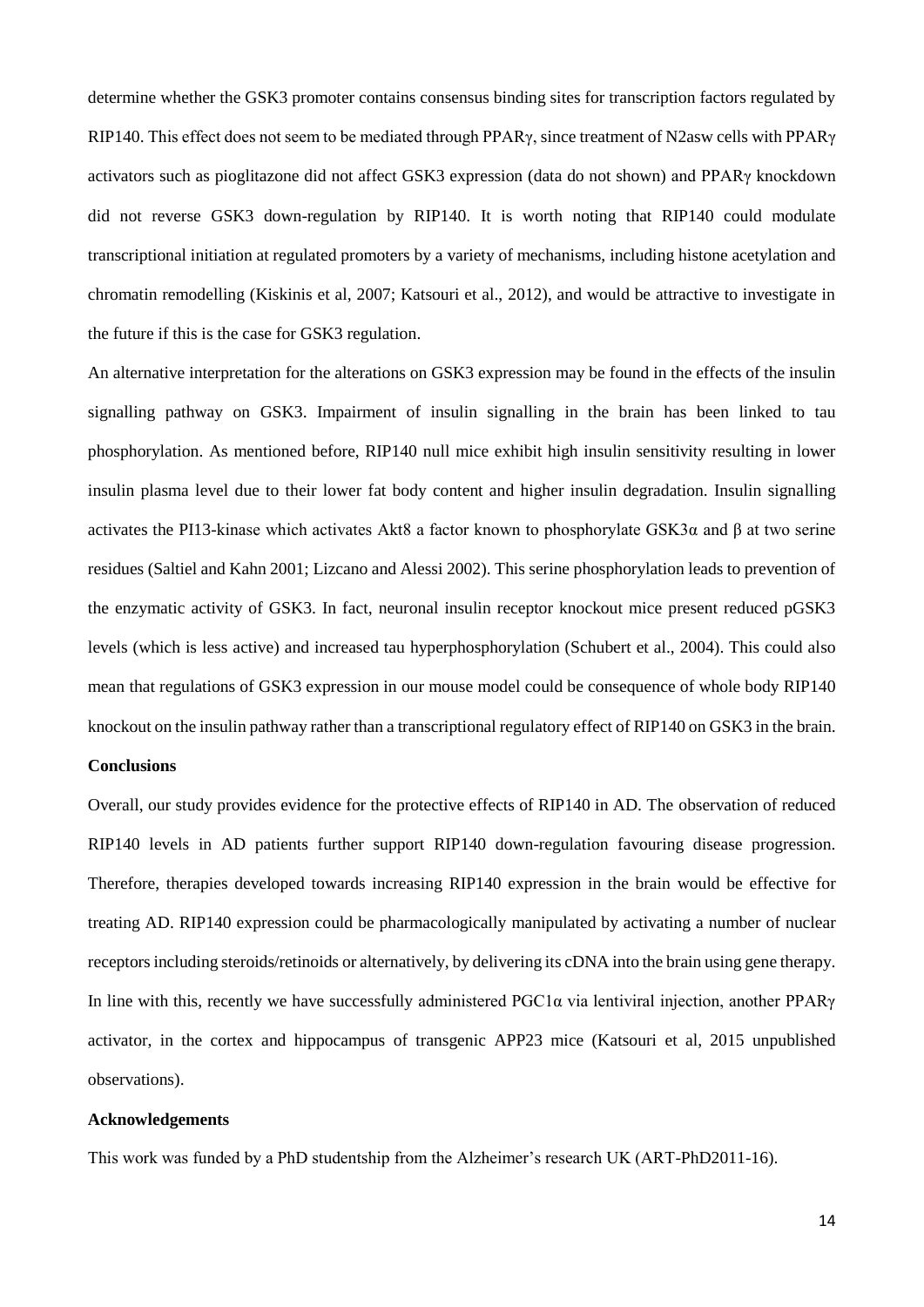determine whether the GSK3 promoter contains consensus binding sites for transcription factors regulated by RIP140. This effect does not seem to be mediated through PPARγ, since treatment of N2asw cells with PPARγ activators such as pioglitazone did not affect GSK3 expression (data do not shown) and PPARγ knockdown did not reverse GSK3 down-regulation by RIP140. It is worth noting that RIP140 could modulate transcriptional initiation at regulated promoters by a variety of mechanisms, including histone acetylation and chromatin remodelling (Kiskinis et al, 2007; Katsouri et al., 2012), and would be attractive to investigate in the future if this is the case for GSK3 regulation.

An alternative interpretation for the alterations on GSK3 expression may be found in the effects of the insulin signalling pathway on GSK3. Impairment of insulin signalling in the brain has been linked to tau phosphorylation. As mentioned before, RIP140 null mice exhibit high insulin sensitivity resulting in lower insulin plasma level due to their lower fat body content and higher insulin degradation. Insulin signalling activates the PI13-kinase which activates Akt8 a factor known to phosphorylate GSK3α and β at two serine residues (Saltiel and Kahn 2001; Lizcano and Alessi 2002). This serine phosphorylation leads to prevention of the enzymatic activity of GSK3. In fact, neuronal insulin receptor knockout mice present reduced pGSK3 levels (which is less active) and increased tau hyperphosphorylation (Schubert et al., 2004). This could also mean that regulations of GSK3 expression in our mouse model could be consequence of whole body RIP140 knockout on the insulin pathway rather than a transcriptional regulatory effect of RIP140 on GSK3 in the brain.

#### **Conclusions**

Overall, our study provides evidence for the protective effects of RIP140 in AD. The observation of reduced RIP140 levels in AD patients further support RIP140 down-regulation favouring disease progression. Therefore, therapies developed towards increasing RIP140 expression in the brain would be effective for treating AD. RIP140 expression could be pharmacologically manipulated by activating a number of nuclear receptors including steroids/retinoids or alternatively, by delivering its cDNA into the brain using gene therapy. In line with this, recently we have successfully administered PGC1α via lentiviral injection, another PPARγ activator, in the cortex and hippocampus of transgenic APP23 mice (Katsouri et al, 2015 unpublished observations).

#### **Acknowledgements**

This work was funded by a PhD studentship from the Alzheimer's research UK (ART-PhD2011-16).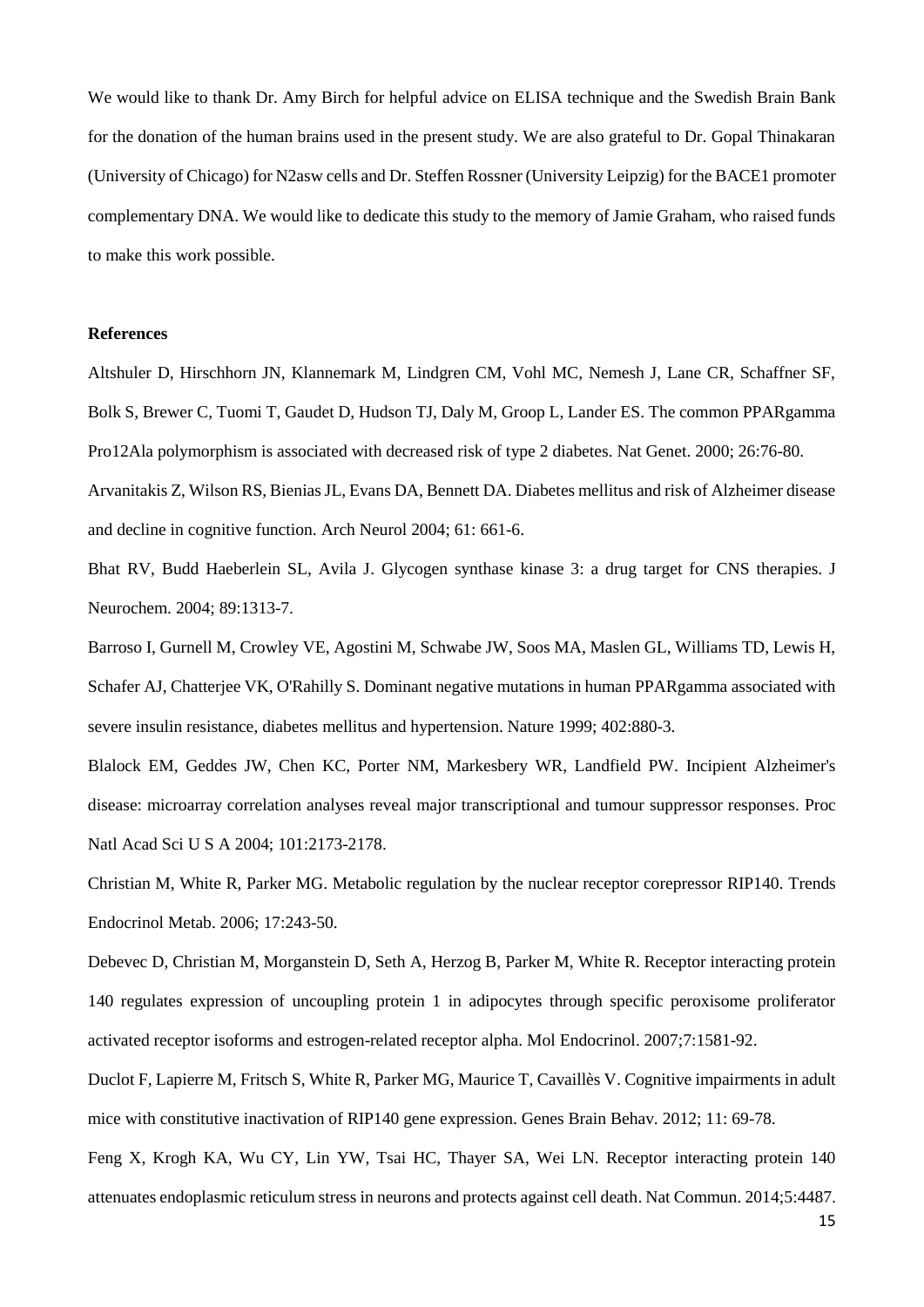We would like to thank Dr. Amy Birch for helpful advice on ELISA technique and the Swedish Brain Bank for the donation of the human brains used in the present study. We are also grateful to Dr. Gopal Thinakaran (University of Chicago) for N2asw cells and Dr. Steffen Rossner (University Leipzig) for the BACE1 promoter complementary DNA. We would like to dedicate this study to the memory of Jamie Graham, who raised funds to make this work possible.

#### **References**

Altshuler D, Hirschhorn JN, Klannemark M, Lindgren CM, Vohl MC, Nemesh J, Lane CR, Schaffner SF, Bolk S, Brewer C, Tuomi T, Gaudet D, Hudson TJ, Daly M, Groop L, Lander ES. The common PPARgamma Pro12Ala polymorphism is associated with decreased risk of type 2 diabetes. Nat Genet. 2000; 26:76-80. Arvanitakis Z, Wilson RS, Bienias JL, Evans DA, Bennett DA. Diabetes mellitus and risk of Alzheimer disease

and decline in cognitive function. Arch Neurol 2004; 61: 661-6.

Bhat RV, Budd Haeberlein SL, Avila J. Glycogen synthase kinase 3: a drug target for CNS therapies. J Neurochem. 2004; 89:1313-7.

Barroso I, Gurnell M, Crowley VE, Agostini M, Schwabe JW, Soos MA, Maslen GL, Williams TD, Lewis H, Schafer AJ, Chatterjee VK, O'Rahilly S. Dominant negative mutations in human PPARgamma associated with severe insulin resistance, diabetes mellitus and hypertension. Nature 1999; 402:880-3.

Blalock EM, Geddes JW, Chen KC, Porter NM, Markesbery WR, Landfield PW. Incipient Alzheimer's disease: microarray correlation analyses reveal major transcriptional and tumour suppressor responses. Proc Natl Acad Sci U S A 2004; 101:2173-2178.

Christian M, White R, Parker MG. Metabolic regulation by the nuclear receptor corepressor RIP140. Trends Endocrinol Metab. 2006; 17:243-50.

Debevec D, Christian M, Morganstein D, Seth A, Herzog B, Parker M, White R. Receptor interacting protein 140 regulates expression of uncoupling protein 1 in adipocytes through specific peroxisome proliferator activated receptor isoforms and estrogen-related receptor alpha. Mol Endocrinol. 2007;7:1581-92.

Duclot F, Lapierre M, Fritsch S, White R, Parker MG, Maurice T, Cavaillès V. Cognitive impairments in adult mice with constitutive inactivation of RIP140 gene expression. Genes Brain Behav. 2012; 11: 69-78.

Feng X, Krogh KA, Wu CY, Lin YW, Tsai HC, Thayer SA, Wei LN. Receptor interacting protein 140 attenuates endoplasmic reticulum stress in neurons and protects against cell death. Nat Commun. 2014;5:4487.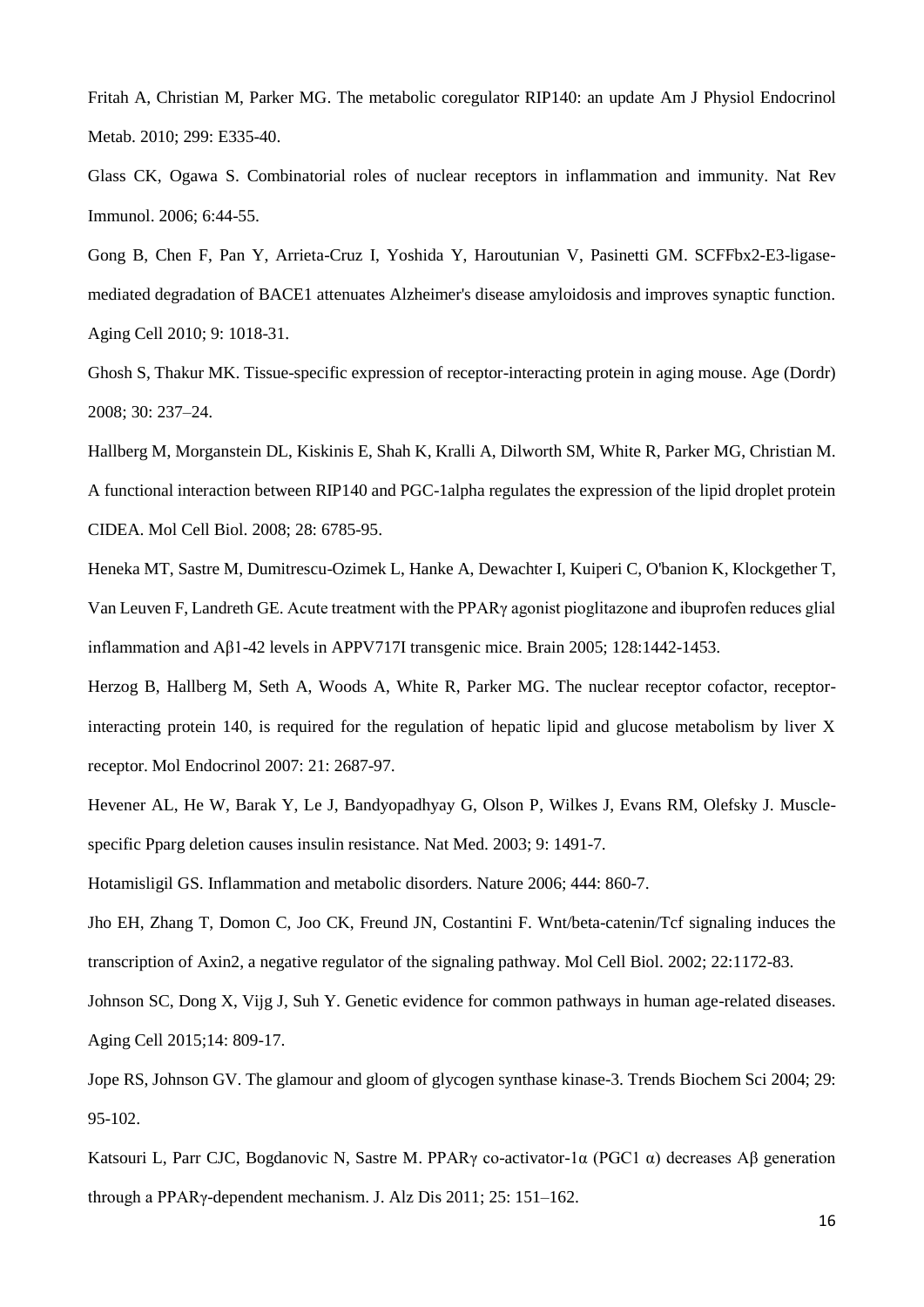Fritah A, Christian M, Parker MG. The metabolic coregulator RIP140: an update Am J Physiol Endocrinol Metab. 2010; 299: E335-40.

Glass CK, Ogawa S. Combinatorial roles of nuclear receptors in inflammation and immunity. Nat Rev Immunol. 2006; 6:44-55.

Gong B, Chen F, Pan Y, Arrieta-Cruz I, Yoshida Y, Haroutunian V, Pasinetti GM. SCFFbx2-E3-ligasemediated degradation of BACE1 attenuates Alzheimer's disease amyloidosis and improves synaptic function. Aging Cell 2010; 9: 1018-31.

Ghosh S, Thakur MK. Tissue-specific expression of receptor-interacting protein in aging mouse. Age (Dordr) 2008; 30: 237–24.

Hallberg M, Morganstein DL, Kiskinis E, Shah K, Kralli A, Dilworth SM, White R, Parker MG, Christian M. A functional interaction between RIP140 and PGC-1alpha regulates the expression of the lipid droplet protein CIDEA. Mol Cell Biol. 2008; 28: 6785-95.

Heneka MT, Sastre M, Dumitrescu-Ozimek L, Hanke A, Dewachter I, Kuiperi C, O'banion K, Klockgether T, Van Leuven F, Landreth GE. Acute treatment with the PPARγ agonist pioglitazone and ibuprofen reduces glial inflammation and Aβ1-42 levels in APPV717I transgenic mice. Brain 2005; 128:1442-1453.

Herzog B, Hallberg M, Seth A, Woods A, White R, Parker MG. The nuclear receptor cofactor, receptorinteracting protein 140, is required for the regulation of hepatic lipid and glucose metabolism by liver X receptor. Mol Endocrinol 2007: 21: 2687-97.

Hevener AL, He W, Barak Y, Le J, Bandyopadhyay G, Olson P, Wilkes J, Evans RM, Olefsky J. Musclespecific Pparg deletion causes insulin resistance. Nat Med. 2003; 9: 1491-7.

Hotamisligil GS. Inflammation and metabolic disorders. Nature 2006; 444: 860-7.

Jho EH, Zhang T, Domon C, Joo CK, Freund JN, Costantini F. Wnt/beta-catenin/Tcf signaling induces the transcription of Axin2, a negative regulator of the signaling pathway. Mol Cell Biol. 2002; 22:1172-83.

Johnson SC, Dong X, Vijg J, Suh Y. Genetic evidence for common pathways in human age-related diseases. Aging Cell 2015;14: 809-17.

Jope RS, Johnson GV. The glamour and gloom of glycogen synthase kinase-3. Trends Biochem Sci 2004; 29: 95-102.

Katsouri L, Parr CJC, Bogdanovic N, Sastre M. PPARγ co-activator-1α (PGC1 α) decreases Aβ generation through a PPARγ-dependent mechanism. J. Alz Dis 2011; 25: 151–162.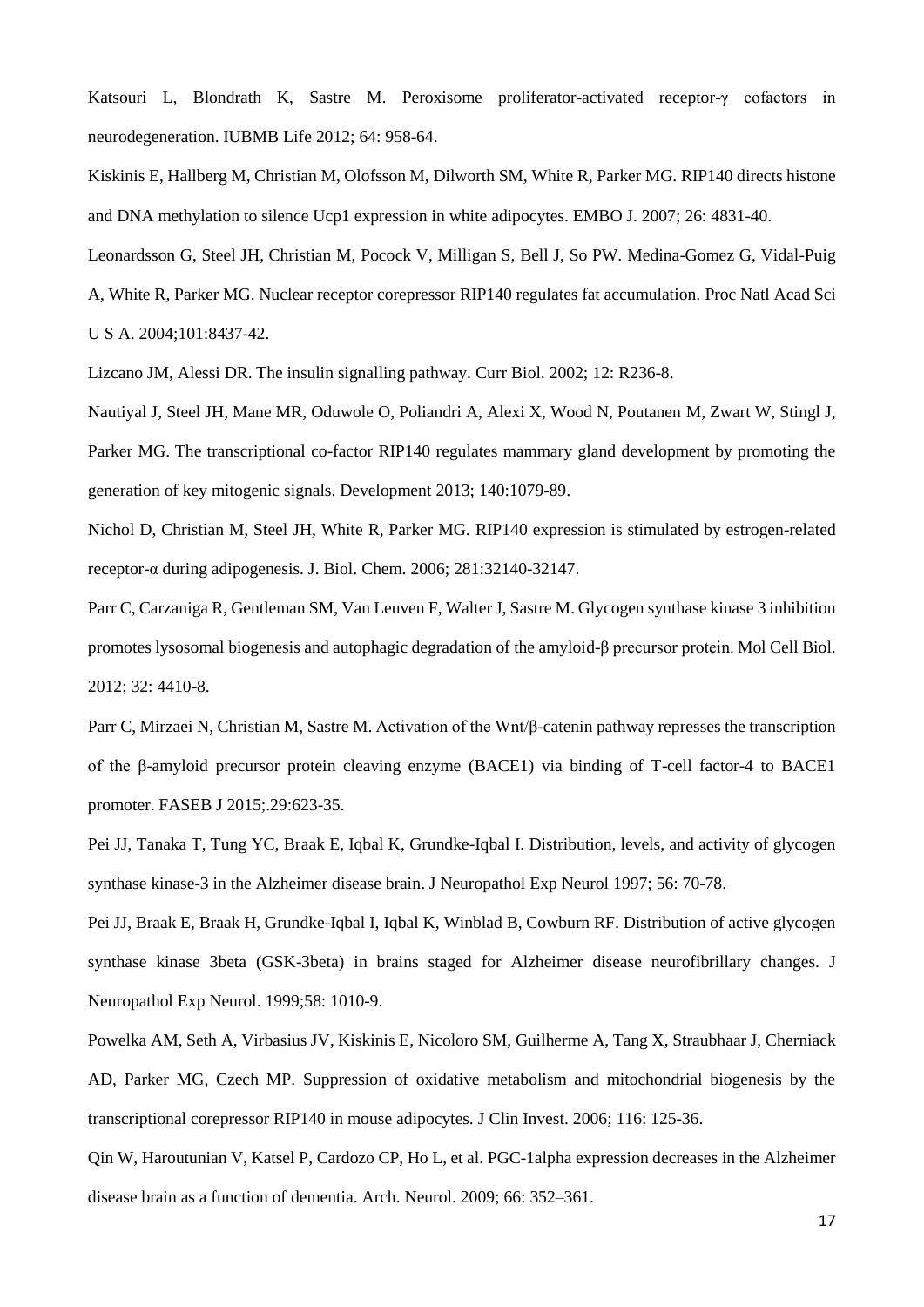Katsouri L, Blondrath K, Sastre M. Peroxisome proliferator-activated receptor-γ cofactors in neurodegeneration. IUBMB Life 2012; 64: 958-64.

Kiskinis E, Hallberg M, Christian M, Olofsson M, Dilworth SM, White R, Parker MG. RIP140 directs histone and DNA methylation to silence Ucp1 expression in white adipocytes. EMBO J. 2007; 26: 4831-40.

Leonardsson G, Steel JH, Christian M, Pocock V, Milligan S, Bell J, So PW. Medina-Gomez G, Vidal-Puig

A, White R, Parker MG. Nuclear receptor corepressor RIP140 regulates fat accumulation. Proc Natl Acad Sci U S A. 2004;101:8437-42.

Lizcano JM, Alessi DR. The insulin signalling pathway. Curr Biol. 2002; 12: R236-8.

Nautiyal J, Steel JH, Mane MR, Oduwole O, Poliandri A, Alexi X, Wood N, Poutanen M, Zwart W, Stingl J, Parker MG. The transcriptional co-factor RIP140 regulates mammary gland development by promoting the generation of key mitogenic signals. Development 2013; 140:1079-89.

Nichol D, Christian M, Steel JH, White R, Parker MG. RIP140 expression is stimulated by estrogen-related receptor-α during adipogenesis. J. Biol. Chem. 2006; 281:32140-32147.

Parr C, Carzaniga R, Gentleman SM, Van Leuven F, Walter J, Sastre M. Glycogen synthase kinase 3 inhibition promotes lysosomal biogenesis and autophagic degradation of the amyloid-β precursor protein. Mol Cell Biol. 2012; 32: 4410-8.

Parr C, Mirzaei N, Christian M, Sastre M. Activation of the Wnt/β-catenin pathway represses the transcription of the β-amyloid precursor protein cleaving enzyme (BACE1) via binding of T-cell factor-4 to BACE1 promoter. FASEB J 2015;.29:623-35.

Pei JJ, Tanaka T, Tung YC, Braak E, Iqbal K, Grundke-Iqbal I. Distribution, levels, and activity of glycogen synthase kinase-3 in the Alzheimer disease brain. J Neuropathol Exp Neurol 1997; 56: 70-78.

Pei JJ, Braak E, Braak H, Grundke-Iqbal I, Iqbal K, Winblad B, Cowburn RF. Distribution of active glycogen synthase kinase 3beta (GSK-3beta) in brains staged for Alzheimer disease neurofibrillary changes. J Neuropathol Exp Neurol. 1999;58: 1010-9.

Powelka AM, Seth A, Virbasius JV, Kiskinis E, Nicoloro SM, Guilherme A, Tang X, Straubhaar J, Cherniack AD, Parker MG, Czech MP. Suppression of oxidative metabolism and mitochondrial biogenesis by the transcriptional corepressor RIP140 in mouse adipocytes. J Clin Invest. 2006; 116: 125-36.

Qin W, Haroutunian V, Katsel P, Cardozo CP, Ho L, et al. PGC-1alpha expression decreases in the Alzheimer disease brain as a function of dementia. Arch. Neurol. 2009; 66: 352–361.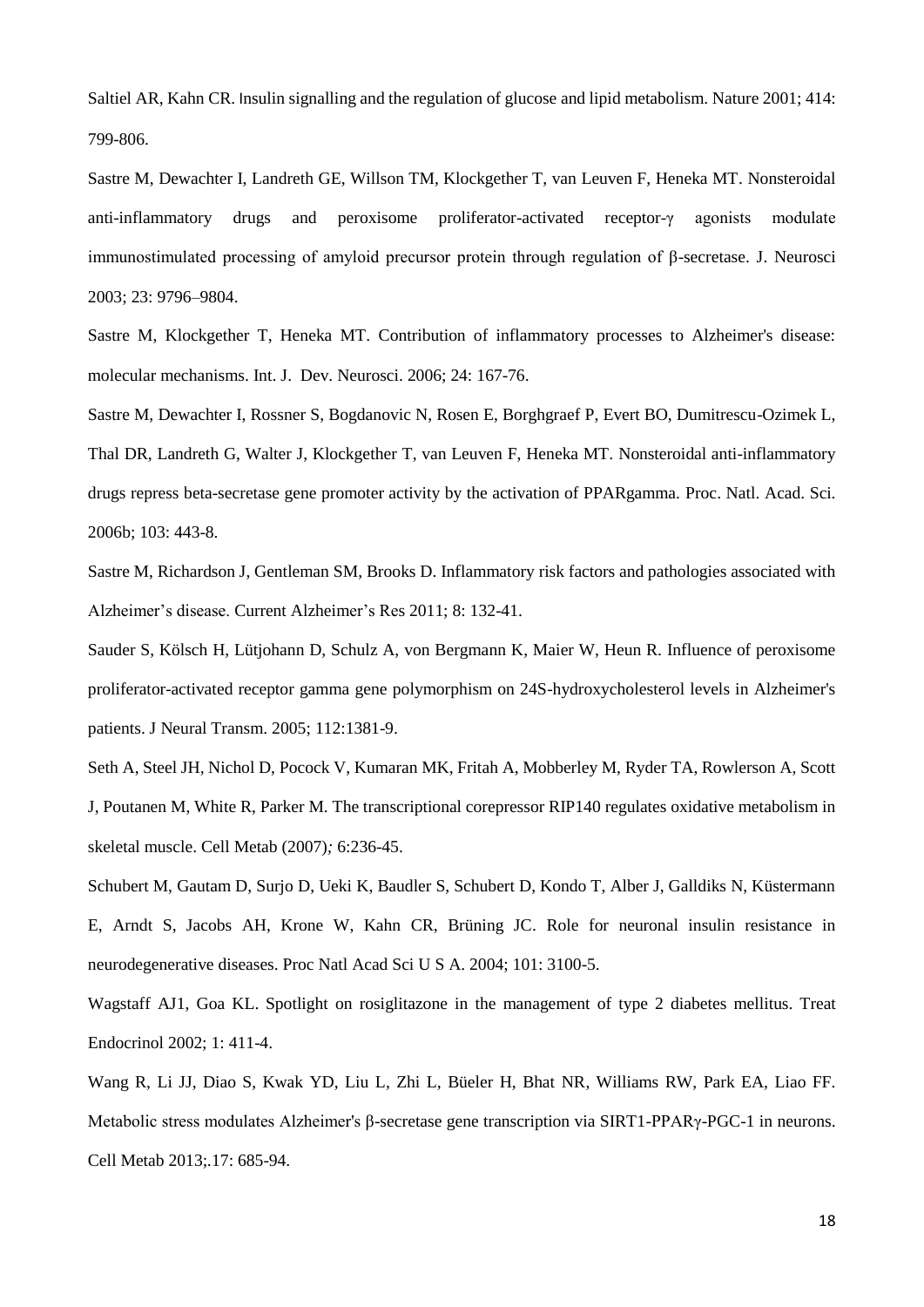Saltiel AR, Kahn CR. Insulin signalling and the regulation of glucose and lipid metabolism. Nature 2001; 414: 799-806.

Sastre M, Dewachter I, Landreth GE, Willson TM, Klockgether T, van Leuven F, Heneka MT. Nonsteroidal anti-inflammatory drugs and peroxisome proliferator-activated receptor-γ agonists modulate immunostimulated processing of amyloid precursor protein through regulation of β-secretase. J. Neurosci 2003; 23: 9796–9804.

Sastre M, Klockgether T, Heneka MT. Contribution of inflammatory processes to Alzheimer's disease: molecular mechanisms. Int. J. Dev. Neurosci. 2006; 24: 167-76.

Sastre M, Dewachter I, Rossner S, Bogdanovic N, Rosen E, Borghgraef P, Evert BO, Dumitrescu-Ozimek L, Thal DR, Landreth G, Walter J, Klockgether T, van Leuven F, Heneka MT. Nonsteroidal anti-inflammatory drugs repress beta-secretase gene promoter activity by the activation of PPARgamma. Proc. Natl. Acad. Sci. 2006b; 103: 443-8.

Sastre M, Richardson J, Gentleman SM, Brooks D. Inflammatory risk factors and pathologies associated with Alzheimer's disease. Current Alzheimer's Res 2011; 8: 132-41.

Sauder S, Kölsch H, Lütjohann D, Schulz A, von Bergmann K, Maier W, Heun R. Influence of peroxisome proliferator-activated receptor gamma gene polymorphism on 24S-hydroxycholesterol levels in Alzheimer's patients. J Neural Transm. 2005; 112:1381-9.

Seth A, Steel JH, Nichol D, Pocock V, Kumaran MK, Fritah A, Mobberley M, Ryder TA, Rowlerson A, Scott J, Poutanen M, White R, Parker M. The transcriptional corepressor RIP140 regulates oxidative metabolism in skeletal muscle. Cell Metab (2007)*;* 6:236-45.

Schubert M, Gautam D, Surjo D, Ueki K, Baudler S, Schubert D, Kondo T, Alber J, Galldiks N, Küstermann E, Arndt S, Jacobs AH, Krone W, Kahn CR, Brüning JC. Role for neuronal insulin resistance in neurodegenerative diseases. Proc Natl Acad Sci U S A. 2004; 101: 3100-5.

Wagstaff AJ1, Goa KL. Spotlight on rosiglitazone in the management of type 2 diabetes mellitus. Treat Endocrinol 2002; 1: 411-4.

Wang R, Li JJ, Diao S, Kwak YD, Liu L, Zhi L, Büeler H, Bhat NR, Williams RW, Park EA, Liao FF. Metabolic stress modulates Alzheimer's β-secretase gene transcription via SIRT1-PPARγ-PGC-1 in neurons. Cell Metab 2013;*.*17: 685-94.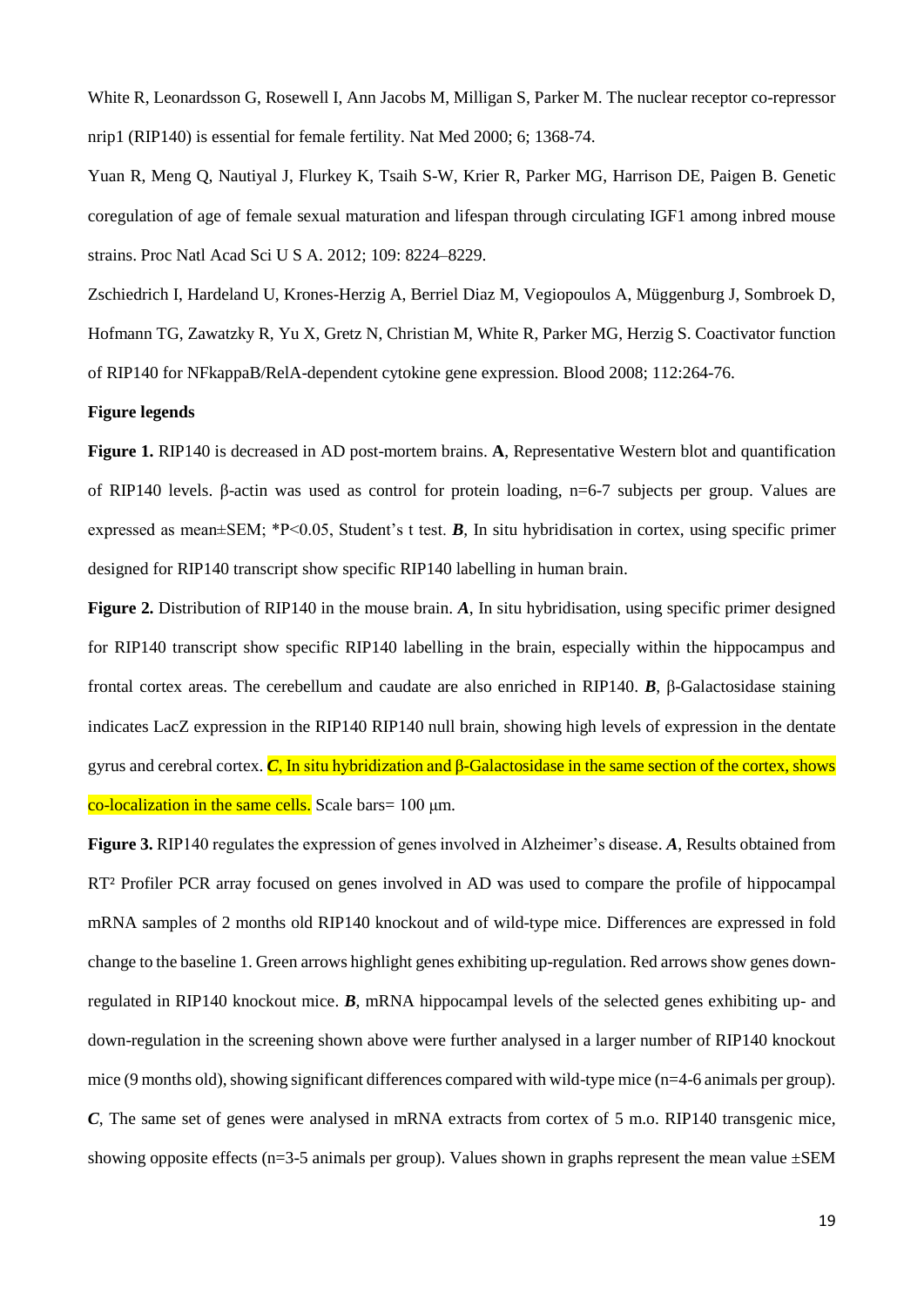White R, Leonardsson G, Rosewell I, Ann Jacobs M, Milligan S, Parker M. The nuclear receptor co-repressor nrip1 (RIP140) is essential for female fertility. Nat Med 2000; 6; 1368-74.

Yuan R, Meng Q, Nautiyal J, Flurkey K, Tsaih S-W, Krier R, Parker MG, Harrison DE, Paigen B. Genetic coregulation of age of female sexual maturation and lifespan through circulating IGF1 among inbred mouse strains. Proc Natl Acad Sci U S A. 2012; 109: 8224–8229.

Zschiedrich I, Hardeland U, Krones-Herzig A, Berriel Diaz M, Vegiopoulos A, Müggenburg J, Sombroek D, Hofmann TG, Zawatzky R, Yu X, Gretz N, Christian M, White R, Parker MG, Herzig S. Coactivator function of RIP140 for NFkappaB/RelA-dependent cytokine gene expression. Blood 2008; 112:264-76.

#### **Figure legends**

**Figure 1.** RIP140 is decreased in AD post-mortem brains. **A**, Representative Western blot and quantification of RIP140 levels. β-actin was used as control for protein loading, n=6-7 subjects per group. Values are expressed as mean±SEM; \*P<0.05, Student's t test. *B*, In situ hybridisation in cortex, using specific primer designed for RIP140 transcript show specific RIP140 labelling in human brain.

**Figure 2.** Distribution of RIP140 in the mouse brain. *A*, In situ hybridisation, using specific primer designed for RIP140 transcript show specific RIP140 labelling in the brain, especially within the hippocampus and frontal cortex areas. The cerebellum and caudate are also enriched in RIP140. *B*, β-Galactosidase staining indicates LacZ expression in the RIP140 RIP140 null brain, showing high levels of expression in the dentate gyrus and cerebral cortex. *C*, In situ hybridization and β-Galactosidase in the same section of the cortex, shows co-localization in the same cells. Scale bars =  $100 \mu m$ .

**Figure 3.** RIP140 regulates the expression of genes involved in Alzheimer's disease. *A*, Results obtained from RT² Profiler PCR array focused on genes involved in AD was used to compare the profile of hippocampal mRNA samples of 2 months old RIP140 knockout and of wild-type mice. Differences are expressed in fold change to the baseline 1. Green arrows highlight genes exhibiting up-regulation. Red arrows show genes downregulated in RIP140 knockout mice. *B*, mRNA hippocampal levels of the selected genes exhibiting up- and down-regulation in the screening shown above were further analysed in a larger number of RIP140 knockout mice (9 months old), showing significant differences compared with wild-type mice (n=4-6 animals per group). *C*. The same set of genes were analysed in mRNA extracts from cortex of 5 m.o. RIP140 transgenic mice, showing opposite effects (n=3-5 animals per group). Values shown in graphs represent the mean value  $\pm$ SEM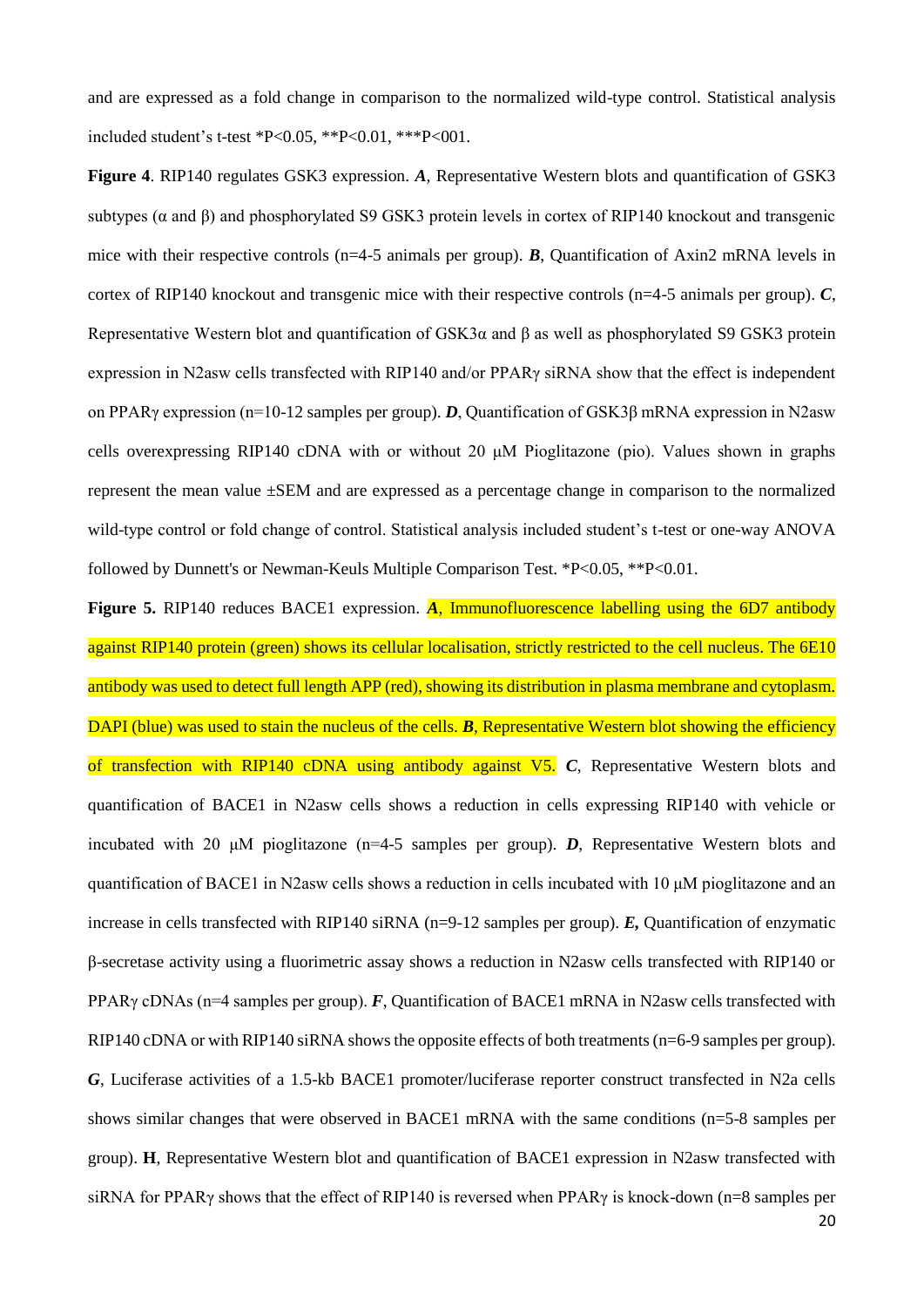and are expressed as a fold change in comparison to the normalized wild-type control. Statistical analysis included student's t-test \*P<0.05, \*\*P<0.01, \*\*\*P<001.

**Figure 4**. RIP140 regulates GSK3 expression. *A*, Representative Western blots and quantification of GSK3 subtypes (α and β) and phosphorylated S9 GSK3 protein levels in cortex of RIP140 knockout and transgenic mice with their respective controls (n=4-5 animals per group). *B*, Quantification of Axin2 mRNA levels in cortex of RIP140 knockout and transgenic mice with their respective controls (n=4-5 animals per group). *C*, Representative Western blot and quantification of GSK3α and β as well as phosphorylated S9 GSK3 protein expression in N2asw cells transfected with RIP140 and/or PPARγ siRNA show that the effect is independent on PPARγ expression (n=10-12 samples per group). *D*, Quantification of GSK3β mRNA expression in N2asw cells overexpressing RIP140 cDNA with or without 20 μM Pioglitazone (pio). Values shown in graphs represent the mean value ±SEM and are expressed as a percentage change in comparison to the normalized wild-type control or fold change of control. Statistical analysis included student's t-test or one-way ANOVA followed by Dunnett's or Newman-Keuls Multiple Comparison Test. \*P<0.05, \*\*P<0.01.

**Figure 5.** RIP140 reduces BACE1 expression. *A*, Immunofluorescence labelling using the 6D7 antibody against RIP140 protein (green) shows its cellular localisation, strictly restricted to the cell nucleus. The 6E10 antibody was used to detect full length APP (red), showing its distribution in plasma membrane and cytoplasm. DAPI (blue) was used to stain the nucleus of the cells. **B**, Representative Western blot showing the efficiency of transfection with RIP140 cDNA using antibody against V5. *C*, Representative Western blots and quantification of BACE1 in N2asw cells shows a reduction in cells expressing RIP140 with vehicle or incubated with 20 μM pioglitazone (n=4-5 samples per group). *D*, Representative Western blots and quantification of BACE1 in N2asw cells shows a reduction in cells incubated with 10 μM pioglitazone and an increase in cells transfected with RIP140 siRNA (n=9-12 samples per group). **E**, Quantification of enzymatic β-secretase activity using a fluorimetric assay shows a reduction in N2asw cells transfected with RIP140 or PPARγ cDNAs (n=4 samples per group). *F*, Quantification of BACE1 mRNA in N2asw cells transfected with RIP140 cDNA or with RIP140 siRNA shows the opposite effects of both treatments (n=6-9 samples per group). *G*, Luciferase activities of a 1.5-kb BACE1 promoter/luciferase reporter construct transfected in N2a cells shows similar changes that were observed in BACE1 mRNA with the same conditions (n=5-8 samples per group). **H**, Representative Western blot and quantification of BACE1 expression in N2asw transfected with siRNA for PPARγ shows that the effect of RIP140 is reversed when PPARγ is knock-down (n=8 samples per

20